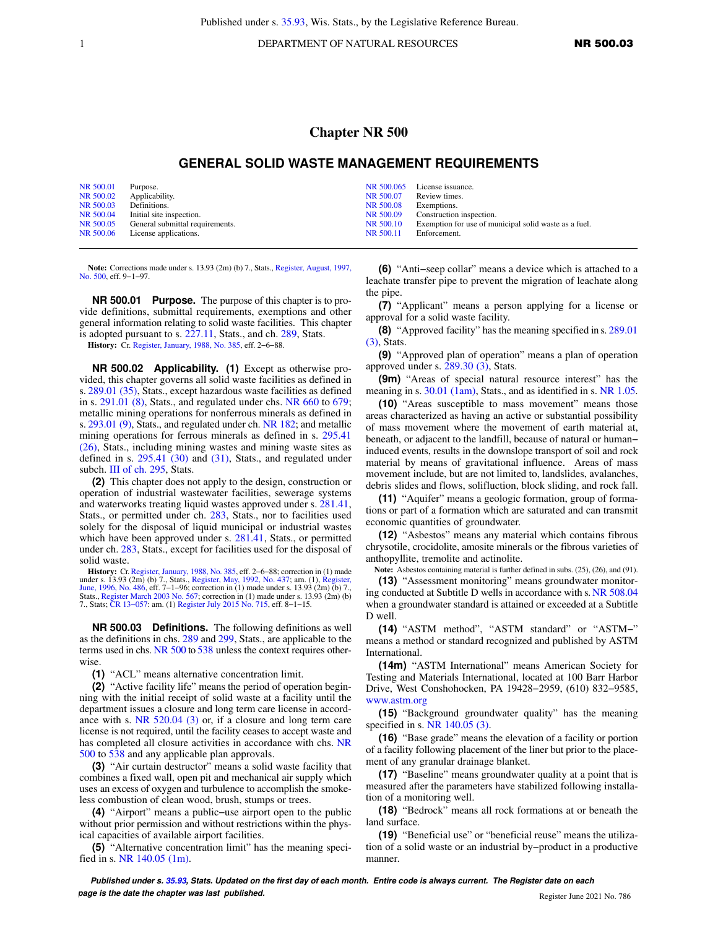1 DEPARTMENT OF NATURAL RESOURCES **NR 500.03** 

## **Chapter NR 500**

## **GENERAL SOLID WASTE MANAGEMENT REQUIREMENTS**

| NR 500.01 | Purpose.                           |           | NR 500.065 License issuance.                          |
|-----------|------------------------------------|-----------|-------------------------------------------------------|
| NR 500.02 | Applicability.                     | NR 500.07 | Review times.                                         |
| NR 500.03 | Definitions.                       | NR 500.08 | Exemptions.                                           |
|           | NR 500.04 Initial site inspection. | NR 500.09 | Construction inspection.                              |
| NR 500.05 | General submittal requirements.    | NR 500.10 | Exemption for use of municipal solid waste as a fuel. |
|           | NR 500.06 License applications.    | NR 500.11 | Enforcement.                                          |

**Note:** Corrections made under s. 13.93 (2m) (b) 7., Stats., [Register, August, 1997,](https://docs.legis.wisconsin.gov/document/register/500/B/toc) [No. 500](https://docs.legis.wisconsin.gov/document/register/500/B/toc), eff. 9-1-97.

**NR 500.01 Purpose.** The purpose of this chapter is to provide definitions, submittal requirements, exemptions and other general information relating to solid waste facilities. This chapter is adopted pursuant to s. [227.11](https://docs.legis.wisconsin.gov/document/statutes/227.11), Stats., and ch. [289](https://docs.legis.wisconsin.gov/document/statutes/ch.%20289), Stats.

**History:** Cr. [Register, January, 1988, No. 385](https://docs.legis.wisconsin.gov/document/register/385/B/toc), eff. 2−6−88.

**NR 500.02 Applicability. (1)** Except as otherwise provided, this chapter governs all solid waste facilities as defined in s. [289.01 \(35\),](https://docs.legis.wisconsin.gov/document/statutes/289.01(35)) Stats., except hazardous waste facilities as defined in s. [291.01 \(8\)](https://docs.legis.wisconsin.gov/document/statutes/291.01(8)), Stats., and regulated under chs. [NR 660](https://docs.legis.wisconsin.gov/document/administrativecode/ch.%20NR%20660) to [679](https://docs.legis.wisconsin.gov/document/administrativecode/ch.%20NR%20679); metallic mining operations for nonferrous minerals as defined in s. [293.01 \(9\)](https://docs.legis.wisconsin.gov/document/statutes/293.01(9)), Stats., and regulated under ch. [NR 182](https://docs.legis.wisconsin.gov/document/administrativecode/ch.%20NR%20182); and metallic mining operations for ferrous minerals as defined in s. [295.41](https://docs.legis.wisconsin.gov/document/statutes/295.41(26)) [\(26\),](https://docs.legis.wisconsin.gov/document/statutes/295.41(26)) Stats., including mining wastes and mining waste sites as defined in s. [295.41 \(30\)](https://docs.legis.wisconsin.gov/document/statutes/295.41(30)) and [\(31\)](https://docs.legis.wisconsin.gov/document/statutes/295.41(31)), Stats., and regulated under subch. [III of ch. 295](https://docs.legis.wisconsin.gov/document/statutes/subch.%20III%20of%20ch.%20295), Stats.

**(2)** This chapter does not apply to the design, construction or operation of industrial wastewater facilities, sewerage systems and waterworks treating liquid wastes approved under s. [281.41,](https://docs.legis.wisconsin.gov/document/statutes/281.41) Stats., or permitted under ch. [283,](https://docs.legis.wisconsin.gov/document/statutes/ch.%20283) Stats., nor to facilities used solely for the disposal of liquid municipal or industrial wastes which have been approved under s. [281.41](https://docs.legis.wisconsin.gov/document/statutes/281.41), Stats., or permitted under ch. [283,](https://docs.legis.wisconsin.gov/document/statutes/ch.%20283) Stats., except for facilities used for the disposal of solid waste.

**History:** Cr. [Register, January, 1988, No. 385](https://docs.legis.wisconsin.gov/document/register/385/B/toc), eff. 2–6–88; correction in (1) made under s. 13.93 (2m) (b) 7., Stats., [Register, May, 1992, No. 437](https://docs.legis.wisconsin.gov/document/register/437/B/toc); am. (1), [Register,](https://docs.legis.wisconsin.gov/document/register/486/B/toc) [June, 1996, No. 486,](https://docs.legis.wisconsin.gov/document/register/486/B/toc) eff. 7–1–96; correction in (1) Stats., [Register March 2003 No. 567;](https://docs.legis.wisconsin.gov/document/register/567/B/toc) correction in (1) made under s. 13.93 (2m) (b) 7., Stats; [CR 13−057:](https://docs.legis.wisconsin.gov/document/cr/2013/57) am. (1) [Register July 2015 No. 715,](https://docs.legis.wisconsin.gov/document/register/715/B/toc) eff. 8−1−15.

**NR 500.03 Definitions.** The following definitions as well as the definitions in chs. [289](https://docs.legis.wisconsin.gov/document/statutes/ch.%20289) and [299,](https://docs.legis.wisconsin.gov/document/statutes/ch.%20299) Stats., are applicable to the terms used in chs. [NR 500](https://docs.legis.wisconsin.gov/document/administrativecode/ch.%20NR%20500) to [538](https://docs.legis.wisconsin.gov/document/administrativecode/ch.%20NR%20538) unless the context requires otherwise.

**(1)** "ACL" means alternative concentration limit.

**(2)** "Active facility life" means the period of operation beginning with the initial receipt of solid waste at a facility until the department issues a closure and long term care license in accordance with s. [NR 520.04 \(3\)](https://docs.legis.wisconsin.gov/document/administrativecode/NR%20520.04(3)) or, if a closure and long term care license is not required, until the facility ceases to accept waste and has completed all closure activities in accordance with chs. [NR](https://docs.legis.wisconsin.gov/document/administrativecode/ch.%20NR%20500) [500](https://docs.legis.wisconsin.gov/document/administrativecode/ch.%20NR%20500) to [538](https://docs.legis.wisconsin.gov/document/administrativecode/ch.%20NR%20538) and any applicable plan approvals.

**(3)** "Air curtain destructor" means a solid waste facility that combines a fixed wall, open pit and mechanical air supply which uses an excess of oxygen and turbulence to accomplish the smokeless combustion of clean wood, brush, stumps or trees.

**(4)** "Airport" means a public−use airport open to the public without prior permission and without restrictions within the physical capacities of available airport facilities.

**(5)** "Alternative concentration limit" has the meaning specified in s. [NR 140.05 \(1m\)](https://docs.legis.wisconsin.gov/document/administrativecode/NR%20140.05(1m)).

**(6)** "Anti−seep collar" means a device which is attached to a leachate transfer pipe to prevent the migration of leachate along the pipe.

**(7)** "Applicant" means a person applying for a license or approval for a solid waste facility.

**(8)** "Approved facility" has the meaning specified in s. [289.01](https://docs.legis.wisconsin.gov/document/statutes/289.01(3)) [\(3\),](https://docs.legis.wisconsin.gov/document/statutes/289.01(3)) Stats.

**(9)** "Approved plan of operation" means a plan of operation approved under s. [289.30 \(3\),](https://docs.legis.wisconsin.gov/document/statutes/289.30(3)) Stats.

**(9m)** "Areas of special natural resource interest" has the meaning in s. [30.01 \(1am\),](https://docs.legis.wisconsin.gov/document/statutes/30.01(1am)) Stats., and as identified in s. [NR 1.05.](https://docs.legis.wisconsin.gov/document/administrativecode/NR%201.05)

**(10)** "Areas susceptible to mass movement" means those areas characterized as having an active or substantial possibility of mass movement where the movement of earth material at, beneath, or adjacent to the landfill, because of natural or human− induced events, results in the downslope transport of soil and rock material by means of gravitational influence. Areas of mass movement include, but are not limited to, landslides, avalanches, debris slides and flows, solifluction, block sliding, and rock fall.

**(11)** "Aquifer" means a geologic formation, group of formations or part of a formation which are saturated and can transmit economic quantities of groundwater.

**(12)** "Asbestos" means any material which contains fibrous chrysotile, crocidolite, amosite minerals or the fibrous varieties of anthopyllite, tremolite and actinolite.

**Note:** Asbestos containing material is further defined in subs. (25), (26), and (91). **(13)** "Assessment monitoring" means groundwater monitoring conducted at Subtitle D wells in accordance with s. [NR 508.04](https://docs.legis.wisconsin.gov/document/administrativecode/NR%20508.04) when a groundwater standard is attained or exceeded at a Subtitle D well.

**(14)** "ASTM method", "ASTM standard" or "ASTM−" means a method or standard recognized and published by ASTM International.

**(14m)** "ASTM International" means American Society for Testing and Materials International, located at 100 Barr Harbor Drive, West Conshohocken, PA 19428−2959, (610) 832−9585, [www.astm.org](http://www.astm.org)

**(15)** "Background groundwater quality" has the meaning specified in s. [NR 140.05 \(3\).](https://docs.legis.wisconsin.gov/document/administrativecode/NR%20140.05(3))

**(16)** "Base grade" means the elevation of a facility or portion of a facility following placement of the liner but prior to the placement of any granular drainage blanket.

**(17)** "Baseline" means groundwater quality at a point that is measured after the parameters have stabilized following installation of a monitoring well.

**(18)** "Bedrock" means all rock formations at or beneath the land surface.

**(19)** "Beneficial use" or "beneficial reuse" means the utilization of a solid waste or an industrial by−product in a productive manner.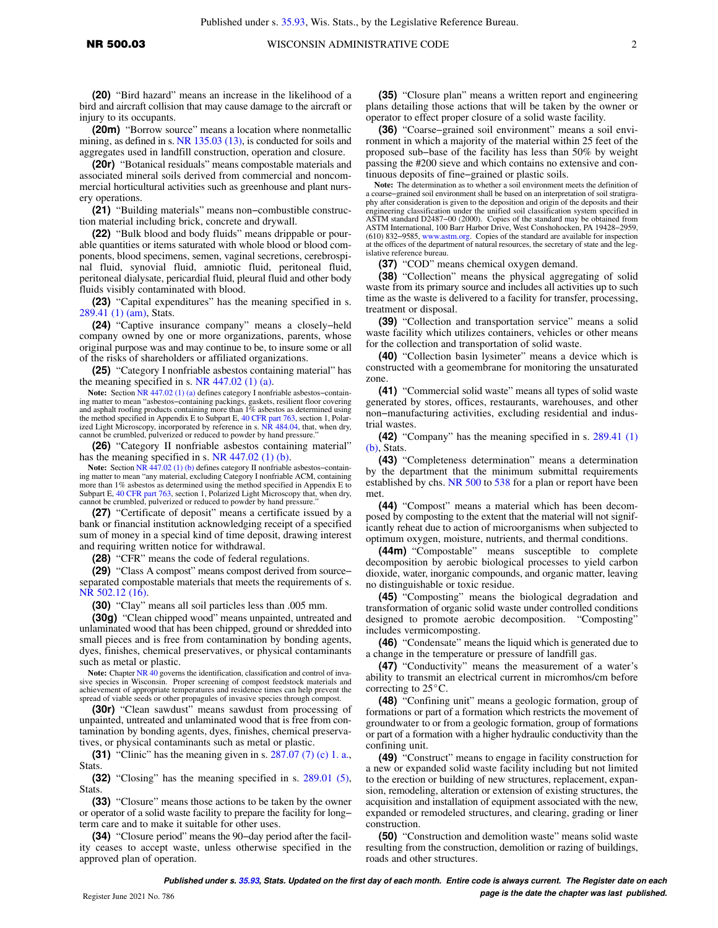## NR 500.03 WISCONSIN ADMINISTRATIVE CODE 2

**(20)** "Bird hazard" means an increase in the likelihood of a bird and aircraft collision that may cause damage to the aircraft or injury to its occupants.

**(20m)** "Borrow source" means a location where nonmetallic mining, as defined in s. [NR 135.03 \(13\)](https://docs.legis.wisconsin.gov/document/administrativecode/NR%20135.03(13)), is conducted for soils and aggregates used in landfill construction, operation and closure.

**(20r)** "Botanical residuals" means compostable materials and associated mineral soils derived from commercial and noncommercial horticultural activities such as greenhouse and plant nursery operations.

**(21)** "Building materials" means non−combustible construction material including brick, concrete and drywall.

**(22)** "Bulk blood and body fluids" means drippable or pourable quantities or items saturated with whole blood or blood components, blood specimens, semen, vaginal secretions, cerebrospinal fluid, synovial fluid, amniotic fluid, peritoneal fluid, peritoneal dialysate, pericardial fluid, pleural fluid and other body fluids visibly contaminated with blood.

**(23)** "Capital expenditures" has the meaning specified in s. [289.41 \(1\) \(am\),](https://docs.legis.wisconsin.gov/document/statutes/289.41(1)(am)) Stats.

**(24)** "Captive insurance company" means a closely−held company owned by one or more organizations, parents, whose original purpose was and may continue to be, to insure some or all of the risks of shareholders or affiliated organizations.

**(25)** "Category I nonfriable asbestos containing material" has the meaning specified in s. NR  $447.02$  (1) (a).

**Note:** Section [NR 447.02 \(1\) \(a\)](https://docs.legis.wisconsin.gov/document/administrativecode/NR%20447.02(1)(a)) defines category I nonfriable asbestos−containing matter to mean "asbestos-containing packings, gaskets, resilient floor covering<br>and asphalt roofing products containing more than 1% asbestos as determined using<br>the method specified in Appendix E to Subpart E, 40 CFR ized Light Microscopy, incorporated by reference in s. [NR 484.04](https://docs.legis.wisconsin.gov/document/administrativecode/NR%20484.04), that, when dry, cannot be crumbled, pulverized or reduced to powder by hand pressure."

**(26)** "Category II nonfriable asbestos containing material" has the meaning specified in s. [NR 447.02 \(1\) \(b\).](https://docs.legis.wisconsin.gov/document/administrativecode/NR%20447.02(1)(b))

Note: Section [NR 447.02 \(1\) \(b\)](https://docs.legis.wisconsin.gov/document/administrativecode/NR%20447.02(1)(b)) defines category II nonfriable asbestos–containing matter to mean "any material, excluding Category I nonfriable ACM, containing more than 1% asbestos as determined using the method specified in Appendix E to Subpart E, [40 CFR part 763,](https://docs.legis.wisconsin.gov/document/cfr/40%20CFR%20763) section 1, Polarized Light Microscopy that, when dry, cannot be crumbled, pulverized or reduced to powder by hand pressure."

**(27)** "Certificate of deposit" means a certificate issued by a bank or financial institution acknowledging receipt of a specified sum of money in a special kind of time deposit, drawing interest and requiring written notice for withdrawal.

**(28)** "CFR" means the code of federal regulations.

**(29)** "Class A compost" means compost derived from source− separated compostable materials that meets the requirements of s. [NR 502.12 \(16\).](https://docs.legis.wisconsin.gov/document/administrativecode/NR%20502.12(16))

**(30)** "Clay" means all soil particles less than .005 mm.

**(30g)** "Clean chipped wood" means unpainted, untreated and unlaminated wood that has been chipped, ground or shredded into small pieces and is free from contamination by bonding agents, dyes, finishes, chemical preservatives, or physical contaminants such as metal or plastic.

Note: Chapter [NR 40](https://docs.legis.wisconsin.gov/document/administrativecode/ch.%20NR%2040) governs the identification, classification and control of invasive species in Wisconsin. Proper screening of compost feedstock materials and achievement of appropriate temperatures and residence times can help prevent the spread of viable seeds or other propagules of invasive species through compost.

**(30r)** "Clean sawdust" means sawdust from processing of unpainted, untreated and unlaminated wood that is free from contamination by bonding agents, dyes, finishes, chemical preservatives, or physical contaminants such as metal or plastic.

**(31)** "Clinic" has the meaning given in s. [287.07 \(7\) \(c\) 1. a.,](https://docs.legis.wisconsin.gov/document/statutes/287.07(7)(c)1.a.) **Stats** 

**(32)** "Closing" has the meaning specified in s. [289.01 \(5\),](https://docs.legis.wisconsin.gov/document/statutes/289.01(5)) Stats.

**(33)** "Closure" means those actions to be taken by the owner or operator of a solid waste facility to prepare the facility for long− term care and to make it suitable for other uses.

**(34)** "Closure period" means the 90−day period after the facility ceases to accept waste, unless otherwise specified in the approved plan of operation.

**(35)** "Closure plan" means a written report and engineering plans detailing those actions that will be taken by the owner or operator to effect proper closure of a solid waste facility.

**(36)** "Coarse−grained soil environment" means a soil environment in which a majority of the material within 25 feet of the proposed sub−base of the facility has less than 50% by weight passing the #200 sieve and which contains no extensive and continuous deposits of fine−grained or plastic soils.

**Note:** The determination as to whether a soil environment meets the definition of a coarse−grained soil environment shall be based on an interpretation of soil stratigraphy after consideration is given to the deposition and origin of the deposits and their engineering classification under the unified soil classification system specified in ASTM standard D2487−00 (2000). Copies of the standard may be obtained from ASTM International, 100 Barr Harbor Drive, West Conshohocken, PA 19428−2959, (610) 832−9585, [www.astm.org.](http://www.astm.org) Copies of the standard are available for inspection at the offices of the department of natural resources, the secretary of state and the legislative reference bureau

**(37)** "COD" means chemical oxygen demand.

**(38)** "Collection" means the physical aggregating of solid waste from its primary source and includes all activities up to such time as the waste is delivered to a facility for transfer, processing, treatment or disposal.

**(39)** "Collection and transportation service" means a solid waste facility which utilizes containers, vehicles or other means for the collection and transportation of solid waste.

**(40)** "Collection basin lysimeter" means a device which is constructed with a geomembrane for monitoring the unsaturated zone.

**(41)** "Commercial solid waste" means all types of solid waste generated by stores, offices, restaurants, warehouses, and other non−manufacturing activities, excluding residential and industrial wastes.

**(42)** "Company" has the meaning specified in s. [289.41 \(1\)](https://docs.legis.wisconsin.gov/document/statutes/289.41(1)(b)) [\(b\),](https://docs.legis.wisconsin.gov/document/statutes/289.41(1)(b)) Stats.

**(43)** "Completeness determination" means a determination by the department that the minimum submittal requirements established by chs. [NR 500](https://docs.legis.wisconsin.gov/document/administrativecode/ch.%20NR%20500) to [538](https://docs.legis.wisconsin.gov/document/administrativecode/ch.%20NR%20538) for a plan or report have been met.

**(44)** "Compost" means a material which has been decomposed by composting to the extent that the material will not significantly reheat due to action of microorganisms when subjected to optimum oxygen, moisture, nutrients, and thermal conditions.

**(44m)** "Compostable" means susceptible to complete decomposition by aerobic biological processes to yield carbon dioxide, water, inorganic compounds, and organic matter, leaving no distinguishable or toxic residue.

**(45)** "Composting" means the biological degradation and transformation of organic solid waste under controlled conditions designed to promote aerobic decomposition. "Composting" includes vermicomposting.

**(46)** "Condensate" means the liquid which is generated due to a change in the temperature or pressure of landfill gas.

**(47)** "Conductivity" means the measurement of a water's ability to transmit an electrical current in micromhos/cm before correcting to  $25^{\circ}$ C.

**(48)** "Confining unit" means a geologic formation, group of formations or part of a formation which restricts the movement of groundwater to or from a geologic formation, group of formations or part of a formation with a higher hydraulic conductivity than the confining unit.

**(49)** "Construct" means to engage in facility construction for a new or expanded solid waste facility including but not limited to the erection or building of new structures, replacement, expansion, remodeling, alteration or extension of existing structures, the acquisition and installation of equipment associated with the new, expanded or remodeled structures, and clearing, grading or liner construction.

**(50)** "Construction and demolition waste" means solid waste resulting from the construction, demolition or razing of buildings, roads and other structures.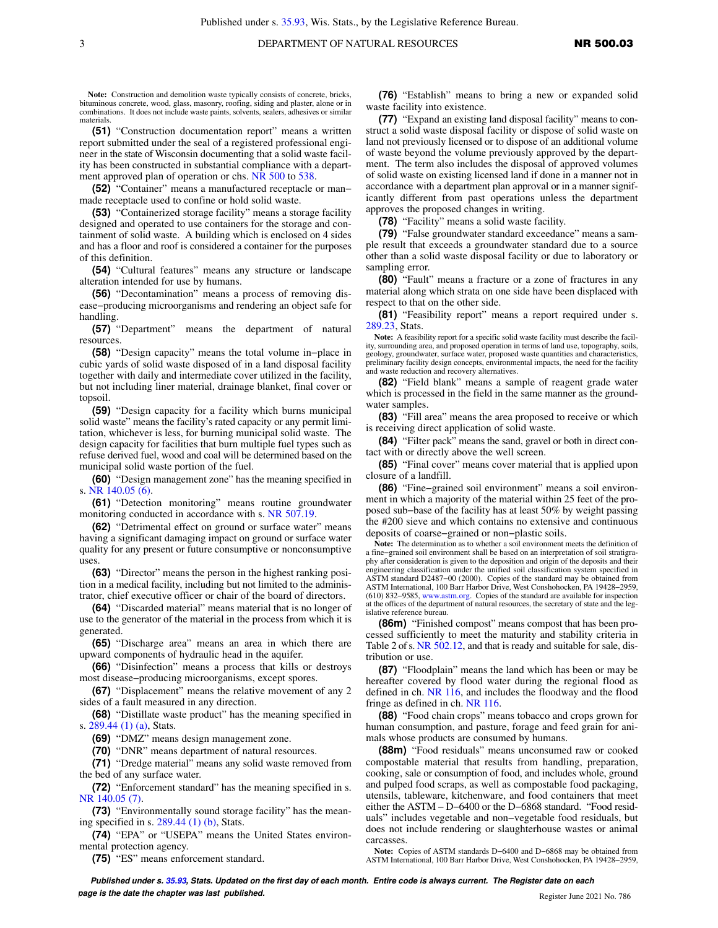**Note:** Construction and demolition waste typically consists of concrete, bricks, bituminous concrete, wood, glass, masonry, roofing, siding and plaster, alone or in combinations. It does not include waste paints, solvents, sealers, adhesives or similar materials.

**(51)** "Construction documentation report" means a written report submitted under the seal of a registered professional engineer in the state of Wisconsin documenting that a solid waste facility has been constructed in substantial compliance with a depart-ment approved plan of operation or chs. [NR 500](https://docs.legis.wisconsin.gov/document/administrativecode/ch.%20NR%20500) to [538](https://docs.legis.wisconsin.gov/document/administrativecode/ch.%20NR%20538).

**(52)** "Container" means a manufactured receptacle or man− made receptacle used to confine or hold solid waste.

**(53)** "Containerized storage facility" means a storage facility designed and operated to use containers for the storage and containment of solid waste. A building which is enclosed on 4 sides and has a floor and roof is considered a container for the purposes of this definition.

**(54)** "Cultural features" means any structure or landscape alteration intended for use by humans.

**(56)** "Decontamination" means a process of removing disease−producing microorganisms and rendering an object safe for handling.

**(57)** "Department" means the department of natural resources.

**(58)** "Design capacity" means the total volume in−place in cubic yards of solid waste disposed of in a land disposal facility together with daily and intermediate cover utilized in the facility, but not including liner material, drainage blanket, final cover or topsoil.

**(59)** "Design capacity for a facility which burns municipal solid waste" means the facility's rated capacity or any permit limitation, whichever is less, for burning municipal solid waste. The design capacity for facilities that burn multiple fuel types such as refuse derived fuel, wood and coal will be determined based on the municipal solid waste portion of the fuel.

**(60)** "Design management zone" has the meaning specified in s. [NR 140.05 \(6\)](https://docs.legis.wisconsin.gov/document/administrativecode/NR%20140.05(6)).

**(61)** "Detection monitoring" means routine groundwater monitoring conducted in accordance with s. [NR 507.19](https://docs.legis.wisconsin.gov/document/administrativecode/NR%20507.19).

**(62)** "Detrimental effect on ground or surface water" means having a significant damaging impact on ground or surface water quality for any present or future consumptive or nonconsumptive uses.

**(63)** "Director" means the person in the highest ranking position in a medical facility, including but not limited to the administrator, chief executive officer or chair of the board of directors.

**(64)** "Discarded material" means material that is no longer of use to the generator of the material in the process from which it is generated.

**(65)** "Discharge area" means an area in which there are upward components of hydraulic head in the aquifer.

**(66)** "Disinfection" means a process that kills or destroys most disease−producing microorganisms, except spores.

**(67)** "Displacement" means the relative movement of any 2 sides of a fault measured in any direction.

**(68)** "Distillate waste product" has the meaning specified in s. [289.44 \(1\) \(a\),](https://docs.legis.wisconsin.gov/document/statutes/289.44(1)(a)) Stats.

**(69)** "DMZ" means design management zone.

**(70)** "DNR" means department of natural resources.

**(71)** "Dredge material" means any solid waste removed from the bed of any surface water.

**(72)** "Enforcement standard" has the meaning specified in s. [NR 140.05 \(7\)](https://docs.legis.wisconsin.gov/document/administrativecode/NR%20140.05(7)).

**(73)** "Environmentally sound storage facility" has the meaning specified in s. [289.44 \(1\) \(b\)](https://docs.legis.wisconsin.gov/document/statutes/289.44(1)(b)), Stats.

**(74)** "EPA" or "USEPA" means the United States environmental protection agency.

**(75)** "ES" means enforcement standard.

**(76)** "Establish" means to bring a new or expanded solid waste facility into existence.

**(77)** "Expand an existing land disposal facility" means to construct a solid waste disposal facility or dispose of solid waste on land not previously licensed or to dispose of an additional volume of waste beyond the volume previously approved by the department. The term also includes the disposal of approved volumes of solid waste on existing licensed land if done in a manner not in accordance with a department plan approval or in a manner significantly different from past operations unless the department approves the proposed changes in writing.

**(78)** "Facility" means a solid waste facility.

**(79)** "False groundwater standard exceedance" means a sample result that exceeds a groundwater standard due to a source other than a solid waste disposal facility or due to laboratory or sampling error.

**(80)** "Fault" means a fracture or a zone of fractures in any material along which strata on one side have been displaced with respect to that on the other side.

**(81)** "Feasibility report" means a report required under s. [289.23](https://docs.legis.wisconsin.gov/document/statutes/289.23), Stats.

**Note:** A feasibility report for a specific solid waste facility must describe the facility, surrounding area, and proposed operation in terms of land use, topography, soils, geology, groundwater, surface water, proposed waste quantities and characteristics, preliminary facility design concepts, environmental impacts, the need for the facility and waste reduction and recovery alternatives.

**(82)** "Field blank" means a sample of reagent grade water which is processed in the field in the same manner as the groundwater samples.

**(83)** "Fill area" means the area proposed to receive or which is receiving direct application of solid waste.

**(84)** "Filter pack" means the sand, gravel or both in direct contact with or directly above the well screen.

**(85)** "Final cover" means cover material that is applied upon closure of a landfill.

**(86)** "Fine−grained soil environment" means a soil environment in which a majority of the material within 25 feet of the proposed sub−base of the facility has at least 50% by weight passing the #200 sieve and which contains no extensive and continuous deposits of coarse−grained or non−plastic soils.

**Note:** The determination as to whether a soil environment meets the definition of a fine−grained soil environment shall be based on an interpretation of soil stratigraphy after consideration is given to the deposition and origin of the deposits and their engineering classification under the unified soil classification system specified in ASTM standard D2487−00 (2000). Copies of the standard may be obtained from ASTM International, 100 Barr Harbor Drive, West Conshohocken, PA 19428−2959, (610) 832−9585, [www.astm.org.](http://www.astm.org) Copies of the standard are available for inspection at the offices of the department of natural resources, the secretary of state and the legislative reference bureau

**(86m)** "Finished compost" means compost that has been processed sufficiently to meet the maturity and stability criteria in Table 2 of s. [NR 502.12,](https://docs.legis.wisconsin.gov/document/administrativecode/NR%20502.12) and that is ready and suitable for sale, distribution or use.

**(87)** "Floodplain" means the land which has been or may be hereafter covered by flood water during the regional flood as defined in ch. [NR 116,](https://docs.legis.wisconsin.gov/document/administrativecode/ch.%20NR%20116) and includes the floodway and the flood fringe as defined in ch. [NR 116.](https://docs.legis.wisconsin.gov/document/administrativecode/ch.%20NR%20116)

**(88)** "Food chain crops" means tobacco and crops grown for human consumption, and pasture, forage and feed grain for animals whose products are consumed by humans.

**(88m)** "Food residuals" means unconsumed raw or cooked compostable material that results from handling, preparation, cooking, sale or consumption of food, and includes whole, ground and pulped food scraps, as well as compostable food packaging, utensils, tableware, kitchenware, and food containers that meet either the ASTM – D−6400 or the D−6868 standard. "Food residuals" includes vegetable and non−vegetable food residuals, but does not include rendering or slaughterhouse wastes or animal carcasses.

**Note:** Copies of ASTM standards D−6400 and D−6868 may be obtained from ASTM International, 100 Barr Harbor Drive, West Conshohocken, PA 19428−2959,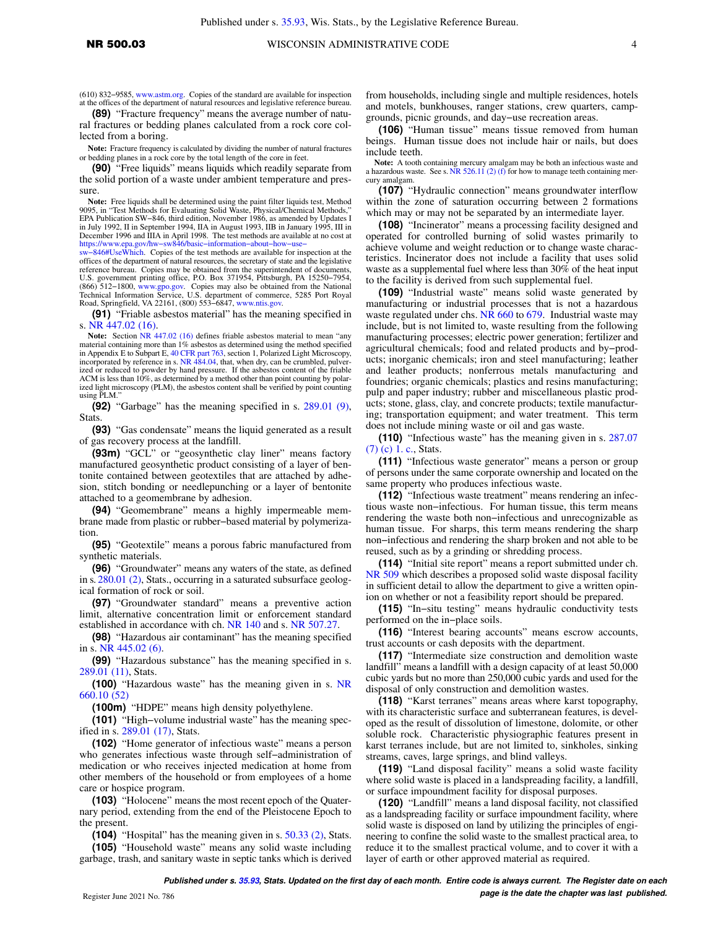(610) 832−9585, [www.astm.org](http://www.astm.org). Copies of the standard are available for inspection at the offices of the department of natural resources and legislative reference bureau.

**(89)** "Fracture frequency" means the average number of natural fractures or bedding planes calculated from a rock core collected from a boring.

**Note:** Fracture frequency is calculated by dividing the number of natural fractures or bedding planes in a rock core by the total length of the core in feet.

**(90)** "Free liquids" means liquids which readily separate from the solid portion of a waste under ambient temperature and pressure.

**Note:** Free liquids shall be determined using the paint filter liquids test, Method 9095, in "Test Methods for Evaluating Solid Waste, Physical/Chemical Methods," EPA Publication SW−846, third edition, November 1986, as amended by Updates I in July 1992, II in September 1994, IIA in August 1993, IIB in January 1995, III in December 1996 and IIIA in April 1998. The test methods are available at no cost at

[https://www.epa.gov/hw−sw846/basic−information−about−how−use−](https://www.epa.gov/hw-sw846/basic-information-about-how-use-sw-846#UseWhich) [sw−846#UseWhich.](https://www.epa.gov/hw-sw846/basic-information-about-how-use-sw-846#UseWhich) Copies of the test methods are available for inspection at the offices of the department of natural resources, the secretary of state and the legislative reference bureau. Copies may be obtained from the superintendent of documents, U.S. government printing office, P.O. Box 371954, Pittsburgh, PA 15250−7954, (866) 512−1800, [www.gpo.gov.](http://www.gpo.gov) Copies may also be obtained from the National Technical Information Service, U.S. department of commerce, 5285 Port Royal Road, Springfield, VA 22161, (800) 553−6847, [www.ntis.gov](http://www.ntis.gov).

**(91)** "Friable asbestos material" has the meaning specified in s. [NR 447.02 \(16\).](https://docs.legis.wisconsin.gov/document/administrativecode/NR%20447.02(16))

Note: Section [NR 447.02 \(16\)](https://docs.legis.wisconsin.gov/document/administrativecode/NR%20447.02(16)) defines friable asbestos material to mean "any material containing more than 1% asbestos as determined using the method specified<br>in Appendix E to Subpart E, [40 CFR part 763,](https://docs.legis.wisconsin.gov/document/cfr/40%20CFR%20763) section 1, Polarized Light Microscopy, incorporated by reference in s. [NR 484.04](https://docs.legis.wisconsin.gov/document/administrativecode/NR%20484.04), that, when dry, can be crumbled, pulverized or reduced to powder by hand pressure. If the asbestos content of the friable ACM is less than 10%, as determined by a method other than point counting by polarized light microscopy (PLM), the asbestos content shall be verified by point counting using PLM."

**(92)** "Garbage" has the meaning specified in s. [289.01 \(9\),](https://docs.legis.wisconsin.gov/document/statutes/289.01(9)) Stats.

**(93)** "Gas condensate" means the liquid generated as a result of gas recovery process at the landfill.

**(93m)** "GCL" or "geosynthetic clay liner" means factory manufactured geosynthetic product consisting of a layer of bentonite contained between geotextiles that are attached by adhesion, stitch bonding or needlepunching or a layer of bentonite attached to a geomembrane by adhesion.

**(94)** "Geomembrane" means a highly impermeable membrane made from plastic or rubber−based material by polymerization.

**(95)** "Geotextile" means a porous fabric manufactured from synthetic materials.

**(96)** "Groundwater" means any waters of the state, as defined in s. [280.01 \(2\)](https://docs.legis.wisconsin.gov/document/statutes/280.01(2)), Stats., occurring in a saturated subsurface geological formation of rock or soil.

**(97)** "Groundwater standard" means a preventive action limit, alternative concentration limit or enforcement standard established in accordance with ch. [NR 140](https://docs.legis.wisconsin.gov/document/administrativecode/ch.%20NR%20140) and s. [NR 507.27.](https://docs.legis.wisconsin.gov/document/administrativecode/NR%20507.27)

**(98)** "Hazardous air contaminant" has the meaning specified in s. [NR 445.02 \(6\).](https://docs.legis.wisconsin.gov/document/administrativecode/NR%20445.02(6))

**(99)** "Hazardous substance" has the meaning specified in s. [289.01 \(11\),](https://docs.legis.wisconsin.gov/document/statutes/289.01(11)) Stats.

**(100)** "Hazardous waste" has the meaning given in s. [NR](https://docs.legis.wisconsin.gov/document/administrativecode/NR%20660.10(52)) [660.10 \(52\)](https://docs.legis.wisconsin.gov/document/administrativecode/NR%20660.10(52))

**(100m)** "HDPE" means high density polyethylene.

**(101)** "High−volume industrial waste" has the meaning specified in s. [289.01 \(17\)](https://docs.legis.wisconsin.gov/document/statutes/289.01(17)), Stats.

**(102)** "Home generator of infectious waste" means a person who generates infectious waste through self−administration of medication or who receives injected medication at home from other members of the household or from employees of a home care or hospice program.

**(103)** "Holocene" means the most recent epoch of the Quaternary period, extending from the end of the Pleistocene Epoch to the present.

**(104)** "Hospital" has the meaning given in s. [50.33 \(2\),](https://docs.legis.wisconsin.gov/document/statutes/50.33(2)) Stats.

**(105)** "Household waste" means any solid waste including garbage, trash, and sanitary waste in septic tanks which is derived

from households, including single and multiple residences, hotels and motels, bunkhouses, ranger stations, crew quarters, campgrounds, picnic grounds, and day−use recreation areas.

**(106)** "Human tissue" means tissue removed from human beings. Human tissue does not include hair or nails, but does include teeth.

**Note:** A tooth containing mercury amalgam may be both an infectious waste and a hazardous waste. See s. [NR 526.11 \(2\) \(f\)](https://docs.legis.wisconsin.gov/document/administrativecode/NR%20526.11(2)(f)) for how to manage teeth containing mercury amalgam.

**(107)** "Hydraulic connection" means groundwater interflow within the zone of saturation occurring between 2 formations which may or may not be separated by an intermediate layer.

**(108)** "Incinerator" means a processing facility designed and operated for controlled burning of solid wastes primarily to achieve volume and weight reduction or to change waste characteristics. Incinerator does not include a facility that uses solid waste as a supplemental fuel where less than 30% of the heat input to the facility is derived from such supplemental fuel.

**(109)** "Industrial waste" means solid waste generated by manufacturing or industrial processes that is not a hazardous waste regulated under chs. [NR 660](https://docs.legis.wisconsin.gov/document/administrativecode/ch.%20NR%20660) to [679.](https://docs.legis.wisconsin.gov/document/administrativecode/ch.%20NR%20679) Industrial waste may include, but is not limited to, waste resulting from the following manufacturing processes; electric power generation; fertilizer and agricultural chemicals; food and related products and by−products; inorganic chemicals; iron and steel manufacturing; leather and leather products; nonferrous metals manufacturing and foundries; organic chemicals; plastics and resins manufacturing; pulp and paper industry; rubber and miscellaneous plastic products; stone, glass, clay, and concrete products; textile manufacturing; transportation equipment; and water treatment. This term does not include mining waste or oil and gas waste.

**(110)** "Infectious waste" has the meaning given in s. [287.07](https://docs.legis.wisconsin.gov/document/statutes/287.07(7)(c)1.c.) [\(7\) \(c\) 1. c.,](https://docs.legis.wisconsin.gov/document/statutes/287.07(7)(c)1.c.) Stats.

**(111)** "Infectious waste generator" means a person or group of persons under the same corporate ownership and located on the same property who produces infectious waste.

**(112)** "Infectious waste treatment" means rendering an infectious waste non−infectious. For human tissue, this term means rendering the waste both non−infectious and unrecognizable as human tissue. For sharps, this term means rendering the sharp non−infectious and rendering the sharp broken and not able to be reused, such as by a grinding or shredding process.

**(114)** "Initial site report" means a report submitted under ch. [NR 509](https://docs.legis.wisconsin.gov/document/administrativecode/ch.%20NR%20509) which describes a proposed solid waste disposal facility in sufficient detail to allow the department to give a written opinion on whether or not a feasibility report should be prepared.

**(115)** "In−situ testing" means hydraulic conductivity tests performed on the in−place soils.

**(116)** "Interest bearing accounts" means escrow accounts, trust accounts or cash deposits with the department.

**(117)** "Intermediate size construction and demolition waste landfill" means a landfill with a design capacity of at least 50,000 cubic yards but no more than 250,000 cubic yards and used for the disposal of only construction and demolition wastes.

**(118)** "Karst terranes" means areas where karst topography, with its characteristic surface and subterranean features, is developed as the result of dissolution of limestone, dolomite, or other soluble rock. Characteristic physiographic features present in karst terranes include, but are not limited to, sinkholes, sinking streams, caves, large springs, and blind valleys.

**(119)** "Land disposal facility" means a solid waste facility where solid waste is placed in a landspreading facility, a landfill, or surface impoundment facility for disposal purposes.

**(120)** "Landfill" means a land disposal facility, not classified as a landspreading facility or surface impoundment facility, where solid waste is disposed on land by utilizing the principles of engineering to confine the solid waste to the smallest practical area, to reduce it to the smallest practical volume, and to cover it with a layer of earth or other approved material as required.

**Published under s. [35.93,](https://docs.legis.wisconsin.gov/document/statutes/35.93) Stats. Updated on the first day of each month. Entire code is always current. The Register date on each Propose is the date the chapter was last published. page is the date the chapter was last published.**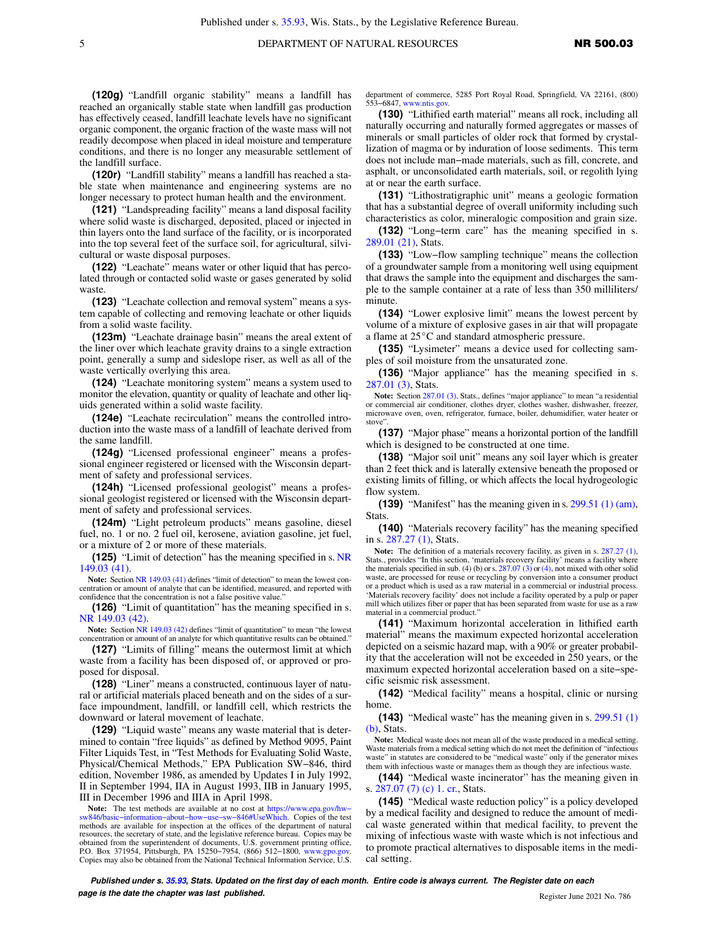**(120g)** "Landfill organic stability" means a landfill has reached an organically stable state when landfill gas production has effectively ceased, landfill leachate levels have no significant organic component, the organic fraction of the waste mass will not readily decompose when placed in ideal moisture and temperature conditions, and there is no longer any measurable settlement of the landfill surface.

**(120r)** "Landfill stability" means a landfill has reached a stable state when maintenance and engineering systems are no longer necessary to protect human health and the environment.

**(121)** "Landspreading facility" means a land disposal facility where solid waste is discharged, deposited, placed or injected in thin layers onto the land surface of the facility, or is incorporated into the top several feet of the surface soil, for agricultural, silvicultural or waste disposal purposes.

**(122)** "Leachate" means water or other liquid that has percolated through or contacted solid waste or gases generated by solid waste

**(123)** "Leachate collection and removal system" means a system capable of collecting and removing leachate or other liquids from a solid waste facility.

**(123m)** "Leachate drainage basin" means the areal extent of the liner over which leachate gravity drains to a single extraction point, generally a sump and sideslope riser, as well as all of the waste vertically overlying this area.

**(124)** "Leachate monitoring system" means a system used to monitor the elevation, quantity or quality of leachate and other liquids generated within a solid waste facility.

**(124e)** "Leachate recirculation" means the controlled introduction into the waste mass of a landfill of leachate derived from the same landfill.

**(124g)** "Licensed professional engineer" means a professional engineer registered or licensed with the Wisconsin department of safety and professional services.

**(124h)** "Licensed professional geologist" means a professional geologist registered or licensed with the Wisconsin department of safety and professional services.

**(124m)** "Light petroleum products" means gasoline, diesel fuel, no. 1 or no. 2 fuel oil, kerosene, aviation gasoline, jet fuel, or a mixture of 2 or more of these materials.

**(125)** "Limit of detection" has the meaning specified in s. [NR](https://docs.legis.wisconsin.gov/document/administrativecode/NR%20149.03(41)) [149.03 \(41\)](https://docs.legis.wisconsin.gov/document/administrativecode/NR%20149.03(41)).

**Note:** Section [NR 149.03 \(41\)](https://docs.legis.wisconsin.gov/document/administrativecode/NR%20149.03(41)) defines "limit of detection" to mean the lowest concentration or amount of analyte that can be identified, measured, and reported with confidence that the concentration is not a false positive value."

**(126)** "Limit of quantitation" has the meaning specified in s. [NR 149.03 \(42\).](https://docs.legis.wisconsin.gov/document/administrativecode/NR%20149.03(42))

**Note:** Section [NR 149.03 \(42\)](https://docs.legis.wisconsin.gov/document/administrativecode/NR%20149.03(42)) defines "limit of quantitation" to mean "the lowest concentration or amount of an analyte for which quantitative results can be obtained."

**(127)** "Limits of filling" means the outermost limit at which waste from a facility has been disposed of, or approved or proposed for disposal.

**(128)** "Liner" means a constructed, continuous layer of natural or artificial materials placed beneath and on the sides of a surface impoundment, landfill, or landfill cell, which restricts the downward or lateral movement of leachate.

**(129)** "Liquid waste" means any waste material that is determined to contain "free liquids" as defined by Method 9095, Paint Filter Liquids Test, in "Test Methods for Evaluating Solid Waste, Physical/Chemical Methods," EPA Publication SW−846, third edition, November 1986, as amended by Updates I in July 1992, II in September 1994, IIA in August 1993, IIB in January 1995, III in December 1996 and IIIA in April 1998.

**Note:** The test methods are available at no cost at [https://www.epa.gov/hw−](https://www.epa.gov/hw-sw846/basic-information-about-how-use-sw-846#UseWhich) [sw846/basic−information−about−how−use−sw−846#UseWhich.](https://www.epa.gov/hw-sw846/basic-information-about-how-use-sw-846#UseWhich) Copies of the test methods are available for inspection at the offices of the department of natural resources, the secretary of state, and the legislative reference bureau. Copies may be obtained from the superintendent of documents, U.S. government printing office, P.O. Box 371954, Pittsburgh, PA 15250−7954, (866) 512−1800, [www.gpo.gov.](http://www.gpo.gov) Copies may also be obtained from the National Technical Information Service, U.S.

department of commerce, 5285 Port Royal Road, Springfield, VA 22161, (800) 553−6847, [www.ntis.gov.](http://www.ntis.gov)

**(130)** "Lithified earth material" means all rock, including all naturally occurring and naturally formed aggregates or masses of minerals or small particles of older rock that formed by crystallization of magma or by induration of loose sediments. This term does not include man−made materials, such as fill, concrete, and asphalt, or unconsolidated earth materials, soil, or regolith lying at or near the earth surface.

**(131)** "Lithostratigraphic unit" means a geologic formation that has a substantial degree of overall uniformity including such characteristics as color, mineralogic composition and grain size.

**(132)** "Long−term care" has the meaning specified in s. [289.01 \(21\)](https://docs.legis.wisconsin.gov/document/statutes/289.01(21)), Stats.

**(133)** "Low−flow sampling technique" means the collection of a groundwater sample from a monitoring well using equipment that draws the sample into the equipment and discharges the sample to the sample container at a rate of less than 350 milliliters/ minute.

**(134)** "Lower explosive limit" means the lowest percent by volume of a mixture of explosive gases in air that will propagate a flame at  $25^{\circ}$ C and standard atmospheric pressure.

**(135)** "Lysimeter" means a device used for collecting samples of soil moisture from the unsaturated zone.

**(136)** "Major appliance" has the meaning specified in s. [287.01 \(3\),](https://docs.legis.wisconsin.gov/document/statutes/287.01(3)) Stats.

**Note:** Section [287.01 \(3\)](https://docs.legis.wisconsin.gov/document/statutes/287.01(3)), Stats., defines "major appliance" to mean "a residential or commercial air conditioner, clothes dryer, clothes washer, dishwasher, freezer, microwave oven, oven, refrigerator, furnace, boiler, dehumidifier, water heater or stove".

**(137)** "Major phase" means a horizontal portion of the landfill which is designed to be constructed at one time.

**(138)** "Major soil unit" means any soil layer which is greater than 2 feet thick and is laterally extensive beneath the proposed or existing limits of filling, or which affects the local hydrogeologic flow system.

**(139)** "Manifest" has the meaning given in s. [299.51 \(1\) \(am\),](https://docs.legis.wisconsin.gov/document/statutes/299.51(1)(am)) Stats.

**(140)** "Materials recovery facility" has the meaning specified in s. [287.27 \(1\)](https://docs.legis.wisconsin.gov/document/statutes/287.27(1)), Stats.

**Note:** The definition of a materials recovery facility, as given in s. [287.27 \(1\)](https://docs.legis.wisconsin.gov/document/statutes/287.27(1)), Stats., provides "In this section, 'materials recovery facility' means a facility where the materials specified in sub. [\(4\)](https://docs.legis.wisconsin.gov/document/statutes/287.07(4)) (b) or s.  $287.07$  (3) or (4), not mixed with other solid waste, are processed for reuse or recycling by conversion into a consumer product or a product which is used as a raw material in a commercial or industrial process. 'Materials recovery facility' does not include a facility operated by a pulp or paper mill which utilizes fiber or paper that has been separated from waste for use as a raw material in a commercial product."

**(141)** "Maximum horizontal acceleration in lithified earth material" means the maximum expected horizontal acceleration depicted on a seismic hazard map, with a 90% or greater probability that the acceleration will not be exceeded in 250 years, or the maximum expected horizontal acceleration based on a site−specific seismic risk assessment.

**(142)** "Medical facility" means a hospital, clinic or nursing home.

**(143)** "Medical waste" has the meaning given in s. [299.51 \(1\)](https://docs.legis.wisconsin.gov/document/statutes/299.51(1)(b)) [\(b\),](https://docs.legis.wisconsin.gov/document/statutes/299.51(1)(b)) Stats.

**Note:** Medical waste does not mean all of the waste produced in a medical setting. Waste materials from a medical setting which do not meet the definition of "infectious waste" in statutes are considered to be "medical waste" only if the generator mixes them with infectious waste or manages them as though they are infectious waste.

**(144)** "Medical waste incinerator" has the meaning given in s. [287.07 \(7\) \(c\) 1. cr.](https://docs.legis.wisconsin.gov/document/statutes/287.07(7)(c)1.cr.), Stats.

**(145)** "Medical waste reduction policy" is a policy developed by a medical facility and designed to reduce the amount of medical waste generated within that medical facility, to prevent the mixing of infectious waste with waste which is not infectious and to promote practical alternatives to disposable items in the medical setting.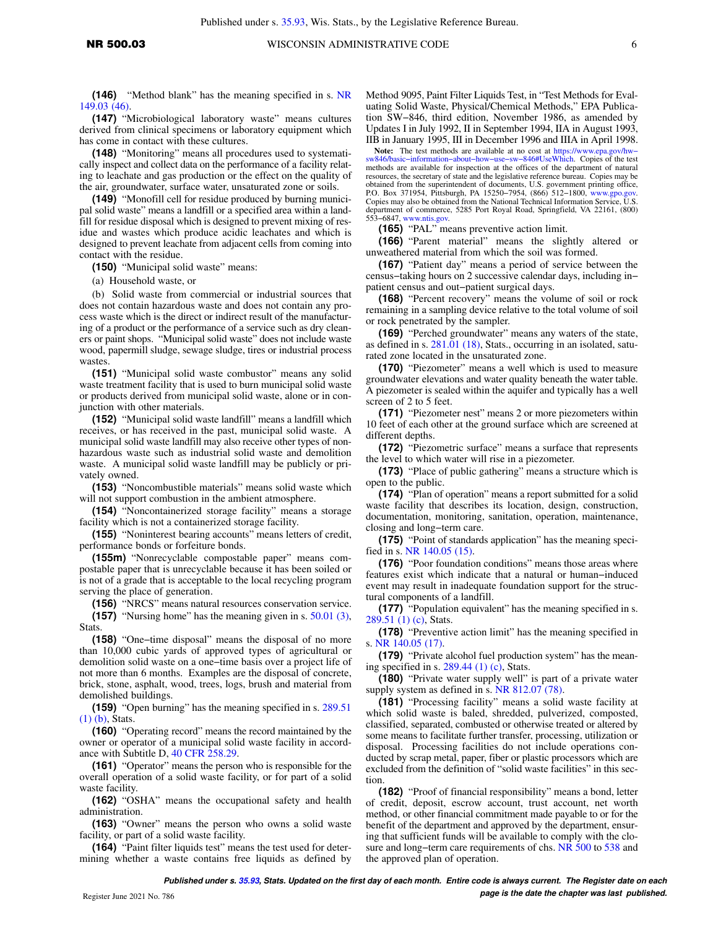**(146)** "Method blank" has the meaning specified in s. [NR](https://docs.legis.wisconsin.gov/document/administrativecode/NR%20149.03(46)) [149.03 \(46\)](https://docs.legis.wisconsin.gov/document/administrativecode/NR%20149.03(46)).

**(147)** "Microbiological laboratory waste" means cultures derived from clinical specimens or laboratory equipment which has come in contact with these cultures.

**(148)** "Monitoring" means all procedures used to systematically inspect and collect data on the performance of a facility relating to leachate and gas production or the effect on the quality of the air, groundwater, surface water, unsaturated zone or soils.

**(149)** "Monofill cell for residue produced by burning municipal solid waste" means a landfill or a specified area within a landfill for residue disposal which is designed to prevent mixing of residue and wastes which produce acidic leachates and which is designed to prevent leachate from adjacent cells from coming into contact with the residue.

**(150)** "Municipal solid waste" means:

(a) Household waste, or

(b) Solid waste from commercial or industrial sources that does not contain hazardous waste and does not contain any process waste which is the direct or indirect result of the manufacturing of a product or the performance of a service such as dry cleaners or paint shops. "Municipal solid waste" does not include waste wood, papermill sludge, sewage sludge, tires or industrial process wastes

**(151)** "Municipal solid waste combustor" means any solid waste treatment facility that is used to burn municipal solid waste or products derived from municipal solid waste, alone or in conjunction with other materials.

**(152)** "Municipal solid waste landfill" means a landfill which receives, or has received in the past, municipal solid waste. A municipal solid waste landfill may also receive other types of nonhazardous waste such as industrial solid waste and demolition waste. A municipal solid waste landfill may be publicly or privately owned.

**(153)** "Noncombustible materials" means solid waste which will not support combustion in the ambient atmosphere.

**(154)** "Noncontainerized storage facility" means a storage facility which is not a containerized storage facility.

**(155)** "Noninterest bearing accounts" means letters of credit, performance bonds or forfeiture bonds.

**(155m)** "Nonrecyclable compostable paper" means compostable paper that is unrecyclable because it has been soiled or is not of a grade that is acceptable to the local recycling program serving the place of generation.

**(156)** "NRCS" means natural resources conservation service. **(157)** "Nursing home" has the meaning given in s. [50.01 \(3\),](https://docs.legis.wisconsin.gov/document/statutes/50.01(3)) Stats.

**(158)** "One−time disposal" means the disposal of no more than 10,000 cubic yards of approved types of agricultural or demolition solid waste on a one−time basis over a project life of not more than 6 months. Examples are the disposal of concrete, brick, stone, asphalt, wood, trees, logs, brush and material from demolished buildings.

**(159)** "Open burning" has the meaning specified in s. [289.51](https://docs.legis.wisconsin.gov/document/statutes/289.51(1)(b)) [\(1\) \(b\)](https://docs.legis.wisconsin.gov/document/statutes/289.51(1)(b)), Stats.

**(160)** "Operating record" means the record maintained by the owner or operator of a municipal solid waste facility in accordance with Subtitle D, [40 CFR 258.29.](https://docs.legis.wisconsin.gov/document/cfr/40%20CFR%20258.29)

**(161)** "Operator" means the person who is responsible for the overall operation of a solid waste facility, or for part of a solid waste facility.

**(162)** "OSHA" means the occupational safety and health administration.

**(163)** "Owner" means the person who owns a solid waste facility, or part of a solid waste facility.

**(164)** "Paint filter liquids test" means the test used for determining whether a waste contains free liquids as defined by Method 9095, Paint Filter Liquids Test, in "Test Methods for Evaluating Solid Waste, Physical/Chemical Methods," EPA Publication SW−846, third edition, November 1986, as amended by Updates I in July 1992, II in September 1994, IIA in August 1993, IIB in January 1995, III in December 1996 and IIIA in April 1998.

Note: The test methods are available at no cost at https://www.epa.gov/hw–sw846/basic−information–about–how–use–sw–846#UseWhich. Copies of the test methods are available for inspection at the offices of the department of natural resources, the secretary of state and the legislative reference bureau. Copies may be obtained from the superintendent of documents, U.S. government printing office, P.O. Box 371954, Pittsburgh, PA 15250−7954, (866) 512−1800, [www.gpo.gov.](http://www.gpo.gov) Copies may also be obtained from the National Technical Information Service, U.S. department of commerce, 5285 Port Royal Road, Springfield, VA 22161, (800) 553−6847, [www.ntis.gov.](http://www.ntis.gov)

**(165)** "PAL" means preventive action limit.

**(166)** "Parent material" means the slightly altered or unweathered material from which the soil was formed.

**(167)** "Patient day" means a period of service between the census−taking hours on 2 successive calendar days, including in− patient census and out−patient surgical days.

**(168)** "Percent recovery" means the volume of soil or rock remaining in a sampling device relative to the total volume of soil or rock penetrated by the sampler.

**(169)** "Perched groundwater" means any waters of the state, as defined in s. [281.01 \(18\),](https://docs.legis.wisconsin.gov/document/statutes/281.01(18)) Stats., occurring in an isolated, saturated zone located in the unsaturated zone.

**(170)** "Piezometer" means a well which is used to measure groundwater elevations and water quality beneath the water table. A piezometer is sealed within the aquifer and typically has a well screen of 2 to 5 feet.

**(171)** "Piezometer nest" means 2 or more piezometers within 10 feet of each other at the ground surface which are screened at different depths.

**(172)** "Piezometric surface" means a surface that represents the level to which water will rise in a piezometer.

**(173)** "Place of public gathering" means a structure which is open to the public.

**(174)** "Plan of operation" means a report submitted for a solid waste facility that describes its location, design, construction, documentation, monitoring, sanitation, operation, maintenance, closing and long−term care.

**(175)** "Point of standards application" has the meaning specified in s. [NR 140.05 \(15\).](https://docs.legis.wisconsin.gov/document/administrativecode/NR%20140.05(15))

**(176)** "Poor foundation conditions" means those areas where features exist which indicate that a natural or human−induced event may result in inadequate foundation support for the structural components of a landfill.

**(177)** "Population equivalent" has the meaning specified in s. [289.51 \(1\) \(c\)](https://docs.legis.wisconsin.gov/document/statutes/289.51(1)(c)), Stats.

**(178)** "Preventive action limit" has the meaning specified in s. [NR 140.05 \(17\)](https://docs.legis.wisconsin.gov/document/administrativecode/NR%20140.05(17)).

**(179)** "Private alcohol fuel production system" has the meaning specified in s.  $289.44$  (1) (c), Stats.

**(180)** "Private water supply well" is part of a private water supply system as defined in s. [NR 812.07 \(78\).](https://docs.legis.wisconsin.gov/document/administrativecode/NR%20812.07(78))

**(181)** "Processing facility" means a solid waste facility at which solid waste is baled, shredded, pulverized, composted, classified, separated, combusted or otherwise treated or altered by some means to facilitate further transfer, processing, utilization or disposal. Processing facilities do not include operations conducted by scrap metal, paper, fiber or plastic processors which are excluded from the definition of "solid waste facilities" in this section.

**(182)** "Proof of financial responsibility" means a bond, letter of credit, deposit, escrow account, trust account, net worth method, or other financial commitment made payable to or for the benefit of the department and approved by the department, ensuring that sufficient funds will be available to comply with the clo-sure and long–term care requirements of chs. [NR 500](https://docs.legis.wisconsin.gov/document/administrativecode/ch.%20NR%20500) to [538](https://docs.legis.wisconsin.gov/document/administrativecode/ch.%20NR%20538) and the approved plan of operation.

**Published under s. [35.93,](https://docs.legis.wisconsin.gov/document/statutes/35.93) Stats. Updated on the first day of each month. Entire code is always current. The Register date on each Propose is the date the chapter was last published. page is the date the chapter was last published.**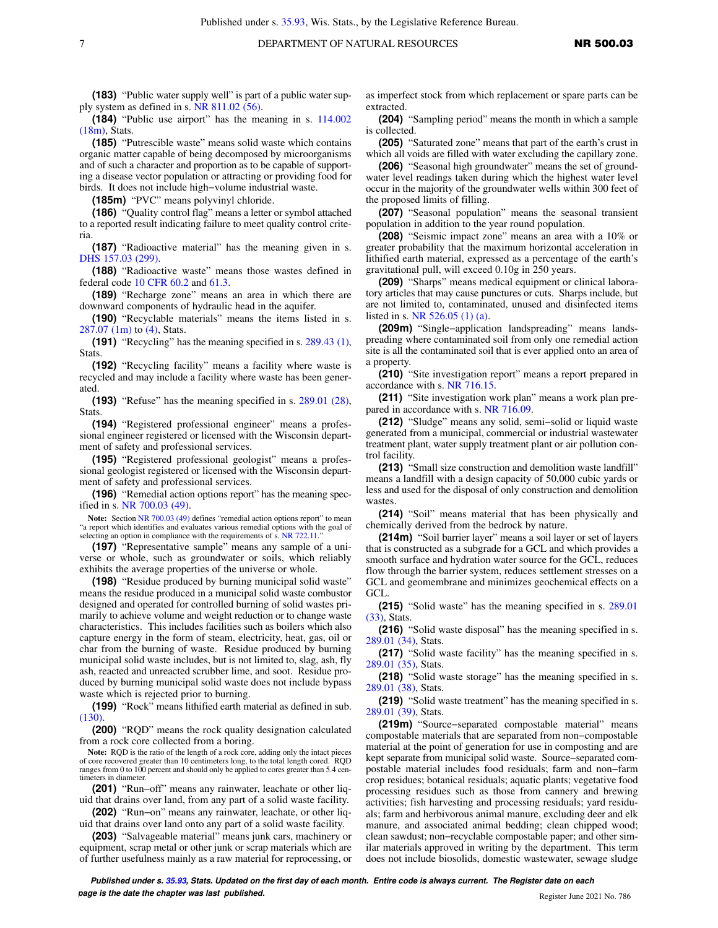**(183)** "Public water supply well" is part of a public water supply system as defined in s. [NR 811.02 \(56\)](https://docs.legis.wisconsin.gov/document/administrativecode/NR%20811.02(56)).

**(184)** "Public use airport" has the meaning in s. [114.002](https://docs.legis.wisconsin.gov/document/statutes/114.002(18m)) [\(18m\),](https://docs.legis.wisconsin.gov/document/statutes/114.002(18m)) Stats.

**(185)** "Putrescible waste" means solid waste which contains organic matter capable of being decomposed by microorganisms and of such a character and proportion as to be capable of supporting a disease vector population or attracting or providing food for birds. It does not include high−volume industrial waste.

**(185m)** "PVC" means polyvinyl chloride.

**(186)** "Quality control flag" means a letter or symbol attached to a reported result indicating failure to meet quality control criteria.

**(187)** "Radioactive material" has the meaning given in s. [DHS 157.03 \(299\).](https://docs.legis.wisconsin.gov/document/administrativecode/DHS%20157.03(299))

**(188)** "Radioactive waste" means those wastes defined in federal code [10 CFR 60.2](https://docs.legis.wisconsin.gov/document/cfr/10%20CFR%2060.2) and [61.3.](https://docs.legis.wisconsin.gov/document/cfr/10%20CFR%2061.3)

**(189)** "Recharge zone" means an area in which there are downward components of hydraulic head in the aquifer.

**(190)** "Recyclable materials" means the items listed in s. [287.07 \(1m\)](https://docs.legis.wisconsin.gov/document/statutes/287.07(1m)) to [\(4\),](https://docs.legis.wisconsin.gov/document/statutes/287.07(4)) Stats.

**(191)** "Recycling" has the meaning specified in s. [289.43 \(1\),](https://docs.legis.wisconsin.gov/document/statutes/289.43(1)) Stats.

**(192)** "Recycling facility" means a facility where waste is recycled and may include a facility where waste has been generated.

**(193)** "Refuse" has the meaning specified in s. [289.01 \(28\),](https://docs.legis.wisconsin.gov/document/statutes/289.01(28)) **Stats** 

**(194)** "Registered professional engineer" means a professional engineer registered or licensed with the Wisconsin department of safety and professional services.

**(195)** "Registered professional geologist" means a professional geologist registered or licensed with the Wisconsin department of safety and professional services.

**(196)** "Remedial action options report" has the meaning specified in s. [NR 700.03 \(49\)](https://docs.legis.wisconsin.gov/document/administrativecode/NR%20700.03(49)).

Note: Section [NR 700.03 \(49\)](https://docs.legis.wisconsin.gov/document/administrativecode/NR%20700.03(49)) defines "remedial action options report" to mean "a report which identifies and evaluates various remedial options with the goal of selecting an option in compliance with the requirements of s. [NR 722.11.](https://docs.legis.wisconsin.gov/document/administrativecode/NR%20722.11)"

**(197)** "Representative sample" means any sample of a universe or whole, such as groundwater or soils, which reliably exhibits the average properties of the universe or whole.

**(198)** "Residue produced by burning municipal solid waste" means the residue produced in a municipal solid waste combustor designed and operated for controlled burning of solid wastes primarily to achieve volume and weight reduction or to change waste characteristics. This includes facilities such as boilers which also capture energy in the form of steam, electricity, heat, gas, oil or char from the burning of waste. Residue produced by burning municipal solid waste includes, but is not limited to, slag, ash, fly ash, reacted and unreacted scrubber lime, and soot. Residue produced by burning municipal solid waste does not include bypass waste which is rejected prior to burning.

**(199)** "Rock" means lithified earth material as defined in sub. [\(130\)](https://docs.legis.wisconsin.gov/document/administrativecode/NR%20500.03(130)).

**(200)** "RQD" means the rock quality designation calculated from a rock core collected from a boring.

**Note:** RQD is the ratio of the length of a rock core, adding only the intact pieces of core recovered greater than 10 centimeters long, to the total length cored. RQD ranges from 0 to 100 percent and should only be applied to cores greater than 5.4 centimeters in diameter.

**(201)** "Run−off" means any rainwater, leachate or other liquid that drains over land, from any part of a solid waste facility.

**(202)** "Run−on" means any rainwater, leachate, or other liquid that drains over land onto any part of a solid waste facility.

**(203)** "Salvageable material" means junk cars, machinery or equipment, scrap metal or other junk or scrap materials which are of further usefulness mainly as a raw material for reprocessing, or as imperfect stock from which replacement or spare parts can be extracted.

**(204)** "Sampling period" means the month in which a sample is collected.

**(205)** "Saturated zone" means that part of the earth's crust in which all voids are filled with water excluding the capillary zone.

**(206)** "Seasonal high groundwater" means the set of groundwater level readings taken during which the highest water level occur in the majority of the groundwater wells within 300 feet of the proposed limits of filling.

**(207)** "Seasonal population" means the seasonal transient population in addition to the year round population.

**(208)** "Seismic impact zone" means an area with a 10% or greater probability that the maximum horizontal acceleration in lithified earth material, expressed as a percentage of the earth's gravitational pull, will exceed 0.10g in 250 years.

**(209)** "Sharps" means medical equipment or clinical laboratory articles that may cause punctures or cuts. Sharps include, but are not limited to, contaminated, unused and disinfected items listed in s. [NR 526.05 \(1\) \(a\)](https://docs.legis.wisconsin.gov/document/administrativecode/NR%20526.05(1)(a)).

**(209m)** "Single−application landspreading" means landspreading where contaminated soil from only one remedial action site is all the contaminated soil that is ever applied onto an area of a property.

**(210)** "Site investigation report" means a report prepared in accordance with s. [NR 716.15](https://docs.legis.wisconsin.gov/document/administrativecode/NR%20716.15).

**(211)** "Site investigation work plan" means a work plan prepared in accordance with s. [NR 716.09.](https://docs.legis.wisconsin.gov/document/administrativecode/NR%20716.09)

**(212)** "Sludge" means any solid, semi−solid or liquid waste generated from a municipal, commercial or industrial wastewater treatment plant, water supply treatment plant or air pollution control facility.

**(213)** "Small size construction and demolition waste landfill" means a landfill with a design capacity of 50,000 cubic yards or less and used for the disposal of only construction and demolition wastes.

**(214)** "Soil" means material that has been physically and chemically derived from the bedrock by nature.

**(214m)** "Soil barrier layer" means a soil layer or set of layers that is constructed as a subgrade for a GCL and which provides a smooth surface and hydration water source for the GCL, reduces flow through the barrier system, reduces settlement stresses on a GCL and geomembrane and minimizes geochemical effects on a GCL.

**(215)** "Solid waste" has the meaning specified in s. [289.01](https://docs.legis.wisconsin.gov/document/statutes/289.01(33)) [\(33\)](https://docs.legis.wisconsin.gov/document/statutes/289.01(33)), Stats.

**(216)** "Solid waste disposal" has the meaning specified in s. [289.01 \(34\)](https://docs.legis.wisconsin.gov/document/statutes/289.01(34)), Stats.

**(217)** "Solid waste facility" has the meaning specified in s. [289.01 \(35\)](https://docs.legis.wisconsin.gov/document/statutes/289.01(35)), Stats.

**(218)** "Solid waste storage" has the meaning specified in s. [289.01 \(38\)](https://docs.legis.wisconsin.gov/document/statutes/289.01(38)), Stats.

**(219)** "Solid waste treatment" has the meaning specified in s. [289.01 \(39\)](https://docs.legis.wisconsin.gov/document/statutes/289.01(39)), Stats.

**(219m)** "Source−separated compostable material" means compostable materials that are separated from non−compostable material at the point of generation for use in composting and are kept separate from municipal solid waste. Source−separated compostable material includes food residuals; farm and non−farm crop residues; botanical residuals; aquatic plants; vegetative food processing residues such as those from cannery and brewing activities; fish harvesting and processing residuals; yard residuals; farm and herbivorous animal manure, excluding deer and elk manure, and associated animal bedding; clean chipped wood; clean sawdust; non−recyclable compostable paper; and other similar materials approved in writing by the department. This term does not include biosolids, domestic wastewater, sewage sludge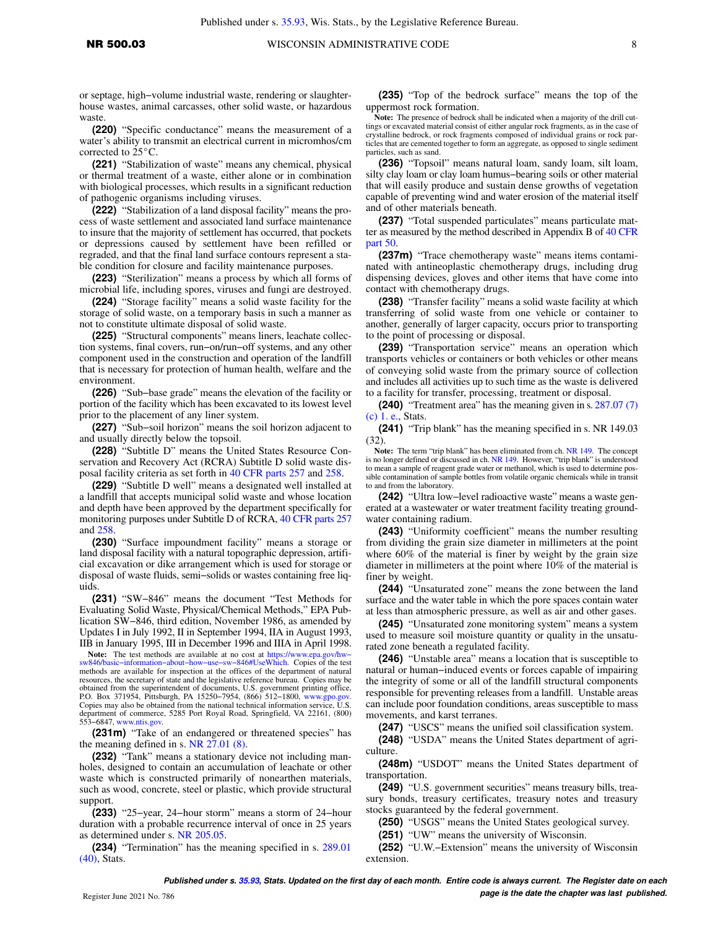or septage, high−volume industrial waste, rendering or slaughterhouse wastes, animal carcasses, other solid waste, or hazardous waste.

**(220)** "Specific conductance" means the measurement of a water's ability to transmit an electrical current in micromhos/cm corrected to  $25^{\circ}$ C.

**(221)** "Stabilization of waste" means any chemical, physical or thermal treatment of a waste, either alone or in combination with biological processes, which results in a significant reduction of pathogenic organisms including viruses.

**(222)** "Stabilization of a land disposal facility" means the process of waste settlement and associated land surface maintenance to insure that the majority of settlement has occurred, that pockets or depressions caused by settlement have been refilled or regraded, and that the final land surface contours represent a stable condition for closure and facility maintenance purposes.

**(223)** "Sterilization" means a process by which all forms of microbial life, including spores, viruses and fungi are destroyed.

**(224)** "Storage facility" means a solid waste facility for the storage of solid waste, on a temporary basis in such a manner as not to constitute ultimate disposal of solid waste.

**(225)** "Structural components" means liners, leachate collection systems, final covers, run−on/run−off systems, and any other component used in the construction and operation of the landfill that is necessary for protection of human health, welfare and the environment.

**(226)** "Sub−base grade" means the elevation of the facility or portion of the facility which has been excavated to its lowest level prior to the placement of any liner system.

**(227)** "Sub−soil horizon" means the soil horizon adjacent to and usually directly below the topsoil.

**(228)** "Subtitle D" means the United States Resource Conservation and Recovery Act (RCRA) Subtitle D solid waste disposal facility criteria as set forth in [40 CFR parts 257](https://docs.legis.wisconsin.gov/document/cfr/40%20CFR%20257) and [258](https://docs.legis.wisconsin.gov/document/cfr/40%20CFR%20258).

**(229)** "Subtitle D well" means a designated well installed at a landfill that accepts municipal solid waste and whose location and depth have been approved by the department specifically for monitoring purposes under Subtitle D of RCRA, [40 CFR parts 257](https://docs.legis.wisconsin.gov/document/cfr/40%20CFR%20257) and [258.](https://docs.legis.wisconsin.gov/document/cfr/40%20CFR%20258)

**(230)** "Surface impoundment facility" means a storage or land disposal facility with a natural topographic depression, artificial excavation or dike arrangement which is used for storage or disposal of waste fluids, semi−solids or wastes containing free liquids.

**(231)** "SW−846" means the document "Test Methods for Evaluating Solid Waste, Physical/Chemical Methods," EPA Publication SW−846, third edition, November 1986, as amended by Updates I in July 1992, II in September 1994, IIA in August 1993, IIB in January 1995, III in December 1996 and IIIA in April 1998.

Note: The test methods are available at no cost at https://www.epa.gov/hw–sw846/basic−information–about–how–use–sw–846#UseWhich. Copies of the test methods are available for inspection at the offices of the department of natural resources, the secretary of state and the legislative reference bureau. Copies may be obtained from the superintendent of documents, U.S. government printing office,<br>P.O. Box 371954, Pittsburgh, PA 15250–7954, (866) 512–1800, [www.gpo.gov.](http://www.gpo.gov)<br>Copies may also be obtained from the national technical information s department of commerce, 5285 Port Royal Road, Springfield, VA 22161, (800) 553−6847, [www.ntis.gov.](http://www.ntis.gov)

**(231m)** "Take of an endangered or threatened species" has the meaning defined in s. [NR 27.01 \(8\)](https://docs.legis.wisconsin.gov/document/administrativecode/NR%2027.01(8)).

**(232)** "Tank" means a stationary device not including manholes, designed to contain an accumulation of leachate or other waste which is constructed primarily of nonearthen materials, such as wood, concrete, steel or plastic, which provide structural support.

**(233)** "25−year, 24−hour storm" means a storm of 24−hour duration with a probable recurrence interval of once in 25 years as determined under s. [NR 205.05](https://docs.legis.wisconsin.gov/document/administrativecode/NR%20205.05).

**(234)** "Termination" has the meaning specified in s. [289.01](https://docs.legis.wisconsin.gov/document/statutes/289.01(40)) [\(40\),](https://docs.legis.wisconsin.gov/document/statutes/289.01(40)) Stats.

**(235)** "Top of the bedrock surface" means the top of the uppermost rock formation.

**Note:** The presence of bedrock shall be indicated when a majority of the drill cuttings or excavated material consist of either angular rock fragments, as in the case of crystalline bedrock, or rock fragments composed of individual grains or rock particles that are cemented together to form an aggregate, as opposed to single sediment particles, such as sand.

**(236)** "Topsoil" means natural loam, sandy loam, silt loam, silty clay loam or clay loam humus−bearing soils or other material that will easily produce and sustain dense growths of vegetation capable of preventing wind and water erosion of the material itself and of other materials beneath.

**(237)** "Total suspended particulates" means particulate matter as measured by the method described in Appendix B of [40 CFR](https://docs.legis.wisconsin.gov/document/cfr/40%20CFR%2050) [part 50](https://docs.legis.wisconsin.gov/document/cfr/40%20CFR%2050).

**(237m)** "Trace chemotherapy waste" means items contaminated with antineoplastic chemotherapy drugs, including drug dispensing devices, gloves and other items that have come into contact with chemotherapy drugs.

**(238)** "Transfer facility" means a solid waste facility at which transferring of solid waste from one vehicle or container to another, generally of larger capacity, occurs prior to transporting to the point of processing or disposal.

**(239)** "Transportation service" means an operation which transports vehicles or containers or both vehicles or other means of conveying solid waste from the primary source of collection and includes all activities up to such time as the waste is delivered to a facility for transfer, processing, treatment or disposal.

**(240)** "Treatment area" has the meaning given in s. [287.07 \(7\)](https://docs.legis.wisconsin.gov/document/statutes/287.07(7)(c)1.e.) [\(c\) 1. e.,](https://docs.legis.wisconsin.gov/document/statutes/287.07(7)(c)1.e.) Stats.

**(241)** "Trip blank" has the meaning specified in s. NR 149.03 (32).

**Note:** The term "trip blank" has been eliminated from ch. [NR 149.](https://docs.legis.wisconsin.gov/document/administrativecode/ch.%20NR%20149) The concept is no longer defined or discussed in ch. [NR 149.](https://docs.legis.wisconsin.gov/document/administrativecode/ch.%20NR%20149) However, "trip blank" is understood to mean a sample of reagent grade water or methanol, which is used to determine possible contamination of sample bottles from volatile organic chemicals while in transit to and from the laboratory.

**(242)** "Ultra low−level radioactive waste" means a waste generated at a wastewater or water treatment facility treating groundwater containing radium.

**(243)** "Uniformity coefficient" means the number resulting from dividing the grain size diameter in millimeters at the point where 60% of the material is finer by weight by the grain size diameter in millimeters at the point where 10% of the material is finer by weight.

**(244)** "Unsaturated zone" means the zone between the land surface and the water table in which the pore spaces contain water at less than atmospheric pressure, as well as air and other gases.

**(245)** "Unsaturated zone monitoring system" means a system used to measure soil moisture quantity or quality in the unsaturated zone beneath a regulated facility.

**(246)** "Unstable area" means a location that is susceptible to natural or human−induced events or forces capable of impairing the integrity of some or all of the landfill structural components responsible for preventing releases from a landfill. Unstable areas can include poor foundation conditions, areas susceptible to mass movements, and karst terranes.

**(247)** "USCS" means the unified soil classification system.

**(248)** "USDA" means the United States department of agriculture.

**(248m)** "USDOT" means the United States department of transportation.

**(249)** "U.S. government securities" means treasury bills, treasury bonds, treasury certificates, treasury notes and treasury stocks guaranteed by the federal government.

**(250)** "USGS" means the United States geological survey.

**(251)** "UW" means the university of Wisconsin.

**(252)** "U.W.−Extension" means the university of Wisconsin extension.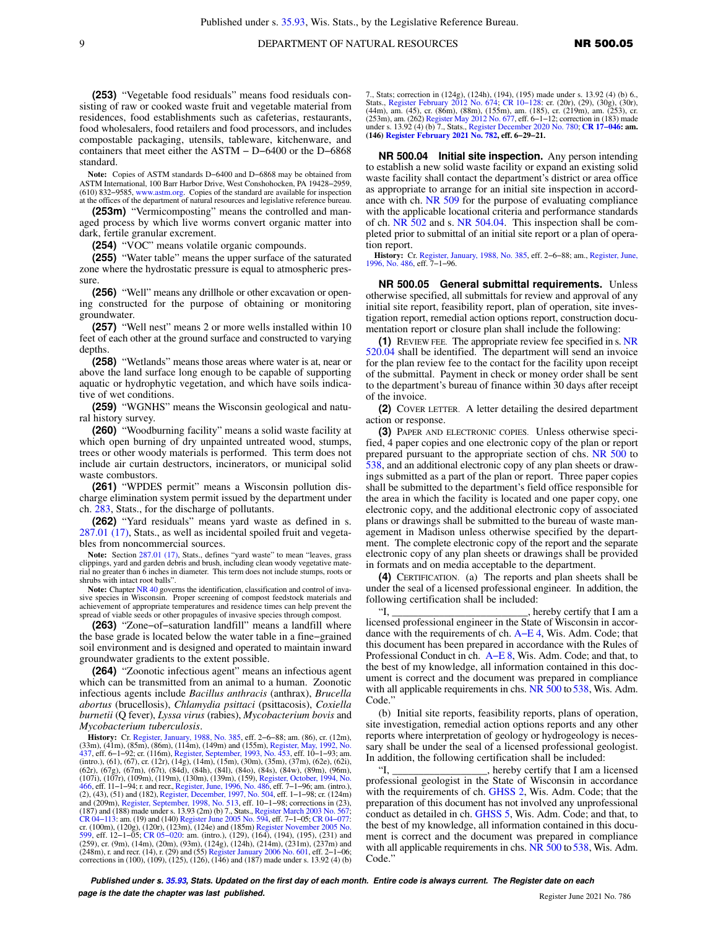**(253)** "Vegetable food residuals" means food residuals consisting of raw or cooked waste fruit and vegetable material from residences, food establishments such as cafeterias, restaurants, food wholesalers, food retailers and food processors, and includes compostable packaging, utensils, tableware, kitchenware, and containers that meet either the ASTM − D−6400 or the D−6868 standard.

**Note:** Copies of ASTM standards D−6400 and D−6868 may be obtained from ASTM International, 100 Barr Harbor Drive, West Conshohocken, PA 19428−2959, (610) 832−9585, [www.astm.org](http://www.astm.org). Copies of the standard are available for inspection at the offices of the department of natural resources and legislative reference bureau.

**(253m)** "Vermicomposting" means the controlled and managed process by which live worms convert organic matter into dark, fertile granular excrement.

**(254)** "VOC" means volatile organic compounds.

**(255)** "Water table" means the upper surface of the saturated zone where the hydrostatic pressure is equal to atmospheric pressure.

**(256)** "Well" means any drillhole or other excavation or opening constructed for the purpose of obtaining or monitoring groundwater.

**(257)** "Well nest" means 2 or more wells installed within 10 feet of each other at the ground surface and constructed to varying depths.

**(258)** "Wetlands" means those areas where water is at, near or above the land surface long enough to be capable of supporting aquatic or hydrophytic vegetation, and which have soils indicative of wet conditions.

**(259)** "WGNHS" means the Wisconsin geological and natural history survey.

**(260)** "Woodburning facility" means a solid waste facility at which open burning of dry unpainted untreated wood, stumps, trees or other woody materials is performed. This term does not include air curtain destructors, incinerators, or municipal solid waste combustors.

**(261)** "WPDES permit" means a Wisconsin pollution discharge elimination system permit issued by the department under ch. [283](https://docs.legis.wisconsin.gov/document/statutes/ch.%20283), Stats., for the discharge of pollutants.

**(262)** "Yard residuals" means yard waste as defined in s. [287.01 \(17\),](https://docs.legis.wisconsin.gov/document/statutes/287.01(17)) Stats., as well as incidental spoiled fruit and vegetables from noncommercial sources.

Note: Section [287.01 \(17\),](https://docs.legis.wisconsin.gov/document/statutes/287.01(17)) Stats., defines "yard waste" to mean "leaves, grass clippings, yard and garden debris and brush, including clean woody vegetative material no greater than 6 inches in diameter. This term does not include stumps, roots or shrubs with intact root balls".

Note: Chapter [NR 40](https://docs.legis.wisconsin.gov/document/administrativecode/ch.%20NR%2040) governs the identification, classification and control of inva-<br>sive species in Wisconsin. Proper screening of compost feedstock materials and achievement of appropriate temperatures and residence times can help prevent the spread of viable seeds or other propagules of invasive species through compost.

**(263)** "Zone−of−saturation landfill" means a landfill where the base grade is located below the water table in a fine−grained soil environment and is designed and operated to maintain inward groundwater gradients to the extent possible.

**(264)** "Zoonotic infectious agent" means an infectious agent which can be transmitted from an animal to a human. Zoonotic infectious agents include *Bacillus anthracis* (anthrax), *Brucella abortus* (brucellosis), *Chlamydia psittaci* (psittacosis), *Coxiella burnetii* (Q fever), *Lyssa virus* (rabies), *Mycobacterium bovis* and *Mycobacterium tuberculosis*.

**History:** Cr. [Register, January, 1988, No. 385](https://docs.legis.wisconsin.gov/document/register/385/B/toc), eff. 2−6−88; am. (86), cr. (12m), (33m), (41m), (85m), (86m), (114m), (149m) and (155m), [Register, May, 1992, No.](https://docs.legis.wisconsin.gov/document/register/437/B/toc)<br>[437](https://docs.legis.wisconsin.gov/document/register/437/B/toc), eff. 6–1–92; cr. (116m), [Register, September, 1993, No. 453,](https://docs.legis.wisconsin.gov/document/register/453/B/toc) eff. 10–1–93; am.<br>(intro.), (61), (67), cr. (12r), (14g), (14m), (15m), (30m (107i), (107r), (109m), (119m), (130m), (139m), (159), [Register, October, 1994, No.](https://docs.legis.wisconsin.gov/document/register/466/B/toc)<br>[466](https://docs.legis.wisconsin.gov/document/register/466/B/toc), eff. 11–1–94; r. and recr., [Register, June, 1996, No. 486,](https://docs.legis.wisconsin.gov/document/register/486/B/toc) eff. 7–1–96; am. (intro.),<br>(2), (43), (51) and (182), Register, December, and (209m), [Register, September, 1998, No. 513,](https://docs.legis.wisconsin.gov/document/register/513/B/toc) eff. 10–1–98; corrections in (23),<br>(187) and (188) made under s. 13.93 (2m) (b) 7., Stats., [Register March 2003 No. 567;](https://docs.legis.wisconsin.gov/document/register/567/B/toc)<br>CR 04–113: am. (19) and (140) Register June 2005 No. cr. (100m), (120g), (120r), (123m), (124e) and (185m) [Register November 2005 No.](https://docs.legis.wisconsin.gov/document/register/599/B/toc) [599](https://docs.legis.wisconsin.gov/document/register/599/B/toc), eff. 12−1−05; [CR 05−020](https://docs.legis.wisconsin.gov/document/cr/2005/20): am. (intro.), (129), (164), (194), (195), (231) and (259), cr. (9m), (14m), (20m), (93m), (124g), (124h), (214m), (231m), (237m) and (248m), r. and recr. (14), r. (29) and (55) [Register January 2006 No. 601](https://docs.legis.wisconsin.gov/document/register/601/B/toc), eff. 2−1−06; corrections in  $(100)$ ,  $(109)$ ,  $(125)$ ,  $(126)$ ,  $(146)$  and  $(187)$  made under s. 13.92 (4) (b) 7., Stats; correction in (124g), (124h), (194), (195) made under s. 13.92 (4) (b) 6.,<br>Stats., [Register February 2012 No. 674;](https://docs.legis.wisconsin.gov/document/register/674/B/toc) CR 10-128: cr. (20r), (29), (30g), (30r), (30r), (30r), (30r), (30r), (30r), (30r), (253), cr. (

**NR 500.04 Initial site inspection.** Any person intending to establish a new solid waste facility or expand an existing solid waste facility shall contact the department's district or area office as appropriate to arrange for an initial site inspection in accordance with ch. [NR 509](https://docs.legis.wisconsin.gov/document/administrativecode/ch.%20NR%20509) for the purpose of evaluating compliance with the applicable locational criteria and performance standards of ch. [NR 502](https://docs.legis.wisconsin.gov/document/administrativecode/ch.%20NR%20502) and s. [NR 504.04](https://docs.legis.wisconsin.gov/document/administrativecode/NR%20504.04). This inspection shall be completed prior to submittal of an initial site report or a plan of operation report.

**History:** Cr. [Register, January, 1988, No. 385,](https://docs.legis.wisconsin.gov/document/register/385/B/toc) eff. 2−6−88; am., [Register, June,](https://docs.legis.wisconsin.gov/document/register/486/B/toc) [1996, No. 486](https://docs.legis.wisconsin.gov/document/register/486/B/toc), eff. 7−1−96.

**NR 500.05 General submittal requirements.** Unless otherwise specified, all submittals for review and approval of any initial site report, feasibility report, plan of operation, site investigation report, remedial action options report, construction documentation report or closure plan shall include the following:

**(1)** REVIEW FEE. The appropriate review fee specified in s. [NR](https://docs.legis.wisconsin.gov/document/administrativecode/NR%20520.04) [520.04](https://docs.legis.wisconsin.gov/document/administrativecode/NR%20520.04) shall be identified. The department will send an invoice for the plan review fee to the contact for the facility upon receipt of the submittal. Payment in check or money order shall be sent to the department's bureau of finance within 30 days after receipt of the invoice.

**(2)** COVER LETTER. A letter detailing the desired department action or response.

**(3)** PAPER AND ELECTRONIC COPIES. Unless otherwise specified, 4 paper copies and one electronic copy of the plan or report prepared pursuant to the appropriate section of chs. [NR 500](https://docs.legis.wisconsin.gov/document/administrativecode/ch.%20NR%20500) to [538,](https://docs.legis.wisconsin.gov/document/administrativecode/ch.%20NR%20538) and an additional electronic copy of any plan sheets or drawings submitted as a part of the plan or report. Three paper copies shall be submitted to the department's field office responsible for the area in which the facility is located and one paper copy, one electronic copy, and the additional electronic copy of associated plans or drawings shall be submitted to the bureau of waste management in Madison unless otherwise specified by the department. The complete electronic copy of the report and the separate electronic copy of any plan sheets or drawings shall be provided in formats and on media acceptable to the department.

**(4)** CERTIFICATION. (a) The reports and plan sheets shall be under the seal of a licensed professional engineer. In addition, the following certification shall be included:

"I, \_\_\_\_\_\_\_\_\_\_\_\_\_\_\_\_\_\_\_\_\_\_\_\_\_\_, hereby certify that I am a licensed professional engineer in the State of Wisconsin in accordance with the requirements of ch. [A−E 4,](https://docs.legis.wisconsin.gov/document/administrativecode/ch.%20A-E%204) Wis. Adm. Code; that this document has been prepared in accordance with the Rules of Professional Conduct in ch. [A−E 8,](https://docs.legis.wisconsin.gov/document/administrativecode/ch.%20A-E%208) Wis. Adm. Code; and that, to the best of my knowledge, all information contained in this document is correct and the document was prepared in compliance with all applicable requirements in chs. [NR 500](https://docs.legis.wisconsin.gov/document/administrativecode/ch.%20NR%20500) to [538](https://docs.legis.wisconsin.gov/document/administrativecode/ch.%20NR%20538), Wis. Adm. Code."

(b) Initial site reports, feasibility reports, plans of operation, site investigation, remedial action options reports and any other reports where interpretation of geology or hydrogeology is necessary shall be under the seal of a licensed professional geologist. In addition, the following certification shall be included:

"I, hereby certify that I am a licensed professional geologist in the State of Wisconsin in accordance with the requirements of ch. [GHSS 2,](https://docs.legis.wisconsin.gov/document/administrativecode/ch.%20GHSS%202) Wis. Adm. Code; that the preparation of this document has not involved any unprofessional conduct as detailed in ch. [GHSS 5,](https://docs.legis.wisconsin.gov/document/administrativecode/ch.%20GHSS%205) Wis. Adm. Code; and that, to the best of my knowledge, all information contained in this document is correct and the document was prepared in compliance with all applicable requirements in chs. [NR 500](https://docs.legis.wisconsin.gov/document/administrativecode/ch.%20NR%20500) to [538](https://docs.legis.wisconsin.gov/document/administrativecode/ch.%20NR%20538), Wis. Adm. Code."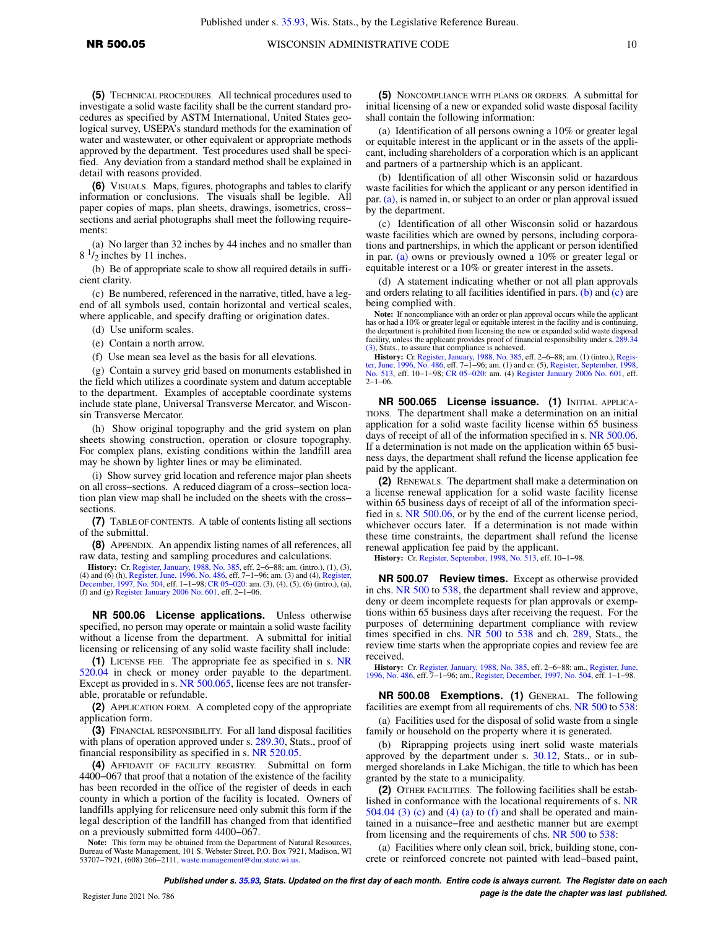**(5)** TECHNICAL PROCEDURES. All technical procedures used to investigate a solid waste facility shall be the current standard procedures as specified by ASTM International, United States geological survey, USEPA's standard methods for the examination of water and wastewater, or other equivalent or appropriate methods approved by the department. Test procedures used shall be specified. Any deviation from a standard method shall be explained in detail with reasons provided.

**(6)** VISUALS. Maps, figures, photographs and tables to clarify information or conclusions. The visuals shall be legible. All paper copies of maps, plan sheets, drawings, isometrics, cross− sections and aerial photographs shall meet the following requirements:

(a) No larger than 32 inches by 44 inches and no smaller than  $8<sup>1</sup>/2$  inches by 11 inches.

(b) Be of appropriate scale to show all required details in sufficient clarity.

(c) Be numbered, referenced in the narrative, titled, have a legend of all symbols used, contain horizontal and vertical scales, where applicable, and specify drafting or origination dates.

- (d) Use uniform scales.
- (e) Contain a north arrow.
- (f) Use mean sea level as the basis for all elevations.

(g) Contain a survey grid based on monuments established in the field which utilizes a coordinate system and datum acceptable to the department. Examples of acceptable coordinate systems include state plane, Universal Transverse Mercator, and Wisconsin Transverse Mercator.

(h) Show original topography and the grid system on plan sheets showing construction, operation or closure topography. For complex plans, existing conditions within the landfill area may be shown by lighter lines or may be eliminated.

(i) Show survey grid location and reference major plan sheets on all cross−sections. A reduced diagram of a cross−section location plan view map shall be included on the sheets with the cross− sections.

**(7)** TABLE OF CONTENTS. A table of contents listing all sections of the submittal.

**(8)** APPENDIX. An appendix listing names of all references, all raw data, testing and sampling procedures and calculations.

**History:** Cr. [Register, January, 1988, No. 385](https://docs.legis.wisconsin.gov/document/register/385/B/toc), eff. 2–6–88; am. (intro.), (1), (3), and (6) (n), [Register, June, 1996, No. 486](https://docs.legis.wisconsin.gov/document/register/486/B/toc), eff. 7–1–96; am. (3) and (4), [Register,](https://docs.legis.wisconsin.gov/document/register/504/B/toc) June, 1996, No. 2010, [December, 1997, No. 504,](https://docs.legis.wisconsin.gov/document/register/504/B/toc) eff. (f) and (g) [Register January 2006 No. 601](https://docs.legis.wisconsin.gov/document/register/601/B/toc), eff. 2−1−06.

**NR 500.06 License applications.** Unless otherwise specified, no person may operate or maintain a solid waste facility without a license from the department. A submittal for initial licensing or relicensing of any solid waste facility shall include:

**(1)** LICENSE FEE. The appropriate fee as specified in s. [NR](https://docs.legis.wisconsin.gov/document/administrativecode/NR%20520.04) [520.04](https://docs.legis.wisconsin.gov/document/administrativecode/NR%20520.04) in check or money order payable to the department. Except as provided in s. [NR 500.065,](https://docs.legis.wisconsin.gov/document/administrativecode/NR%20500.065) license fees are not transferable, proratable or refundable.

**(2)** APPLICATION FORM. A completed copy of the appropriate application form.

**(3)** FINANCIAL RESPONSIBILITY. For all land disposal facilities with plans of operation approved under s. [289.30,](https://docs.legis.wisconsin.gov/document/statutes/289.30) Stats., proof of financial responsibility as specified in s. [NR 520.05.](https://docs.legis.wisconsin.gov/document/administrativecode/NR%20520.05)

**(4)** AFFIDAVIT OF FACILITY REGISTRY. Submittal on form 4400−067 that proof that a notation of the existence of the facility has been recorded in the office of the register of deeds in each county in which a portion of the facility is located. Owners of landfills applying for relicensure need only submit this form if the legal description of the landfill has changed from that identified on a previously submitted form 4400−067.

**Note:** This form may be obtained from the Department of Natural Resources, Bureau of Waste Management, 101 S. Webster Street, P.O. Box 7921, Madison, WI 53707−7921, (608) 266−2111, [waste.management@dnr.state.wi.us.](mailto:waste.management@dnr.state.wi.us)

**(5)** NONCOMPLIANCE WITH PLANS OR ORDERS. A submittal for initial licensing of a new or expanded solid waste disposal facility shall contain the following information:

(a) Identification of all persons owning a 10% or greater legal or equitable interest in the applicant or in the assets of the applicant, including shareholders of a corporation which is an applicant and partners of a partnership which is an applicant.

(b) Identification of all other Wisconsin solid or hazardous waste facilities for which the applicant or any person identified in par. [\(a\)](https://docs.legis.wisconsin.gov/document/administrativecode/NR%20500.06(5)(a)), is named in, or subject to an order or plan approval issued by the department.

(c) Identification of all other Wisconsin solid or hazardous waste facilities which are owned by persons, including corporations and partnerships, in which the applicant or person identified in par. [\(a\)](https://docs.legis.wisconsin.gov/document/administrativecode/NR%20500.06(5)(a)) owns or previously owned a 10% or greater legal or equitable interest or a 10% or greater interest in the assets.

(d) A statement indicating whether or not all plan approvals and orders relating to all facilities identified in pars. [\(b\)](https://docs.legis.wisconsin.gov/document/administrativecode/NR%20500.06(5)(b)) and [\(c\)](https://docs.legis.wisconsin.gov/document/administrativecode/NR%20500.06(5)(c)) are being complied with.

Note: If noncompliance with an order or plan approval occurs while the applicant has or had a 10% or greater legal or equitable interest in the facility and is continuing, the department is prohibited from licensing the new or expanded solid waste disposal facility, unless the applicant provides proof of financial responsibility under s. [289.34](https://docs.legis.wisconsin.gov/document/statutes/289.34(3)) [\(3\)](https://docs.legis.wisconsin.gov/document/statutes/289.34(3)), Stats., to assure that compliance is achieved.

**History:** Cr. [Register, January, 1988, No. 385](https://docs.legis.wisconsin.gov/document/register/385/B/toc), eff. 2–6–88; am. (1) (intro.), Register, June, 1998, No. 385, eff. 2–6–88; am. (1) (intro.), Register, 1998, No. 486, eff. 7–1–96; am. (1) and cr. (5), Register, September,  $2 - 1 - 06$ .

**NR 500.065 License issuance. (1)** INITIAL APPLICA-TIONS. The department shall make a determination on an initial application for a solid waste facility license within 65 business days of receipt of all of the information specified in s. [NR 500.06.](https://docs.legis.wisconsin.gov/document/administrativecode/NR%20500.06) If a determination is not made on the application within 65 business days, the department shall refund the license application fee paid by the applicant.

**(2)** RENEWALS. The department shall make a determination on a license renewal application for a solid waste facility license within 65 business days of receipt of all of the information specified in s. [NR 500.06,](https://docs.legis.wisconsin.gov/document/administrativecode/NR%20500.06) or by the end of the current license period, whichever occurs later. If a determination is not made within these time constraints, the department shall refund the license renewal application fee paid by the applicant.

**History:** Cr. [Register, September, 1998, No. 513,](https://docs.legis.wisconsin.gov/document/register/513/B/toc) eff. 10−1−98.

**NR 500.07 Review times.** Except as otherwise provided in chs. [NR 500](https://docs.legis.wisconsin.gov/document/administrativecode/ch.%20NR%20500) to [538](https://docs.legis.wisconsin.gov/document/administrativecode/ch.%20NR%20538), the department shall review and approve, deny or deem incomplete requests for plan approvals or exemptions within 65 business days after receiving the request. For the purposes of determining department compliance with review times specified in chs. [NR 500](https://docs.legis.wisconsin.gov/document/administrativecode/ch.%20NR%20500) to [538](https://docs.legis.wisconsin.gov/document/administrativecode/ch.%20NR%20538) and ch. [289](https://docs.legis.wisconsin.gov/document/statutes/ch.%20289), Stats., the review time starts when the appropriate copies and review fee are received.

**History:** Cr. [Register, January, 1988, No. 385,](https://docs.legis.wisconsin.gov/document/register/385/B/toc) eff. 2−6−88; am., [Register, June,](https://docs.legis.wisconsin.gov/document/register/486/B/toc) [1996, No. 486](https://docs.legis.wisconsin.gov/document/register/486/B/toc), eff. 7−1−96; am., [Register, December, 1997, No. 504](https://docs.legis.wisconsin.gov/document/register/504/B/toc), eff. 1−1−98.

**NR 500.08 Exemptions. (1)** GENERAL. The following facilities are exempt from all requirements of chs. [NR 500](https://docs.legis.wisconsin.gov/document/administrativecode/ch.%20NR%20500) to [538:](https://docs.legis.wisconsin.gov/document/administrativecode/ch.%20NR%20538)

(a) Facilities used for the disposal of solid waste from a single family or household on the property where it is generated.

(b) Riprapping projects using inert solid waste materials approved by the department under s. [30.12](https://docs.legis.wisconsin.gov/document/statutes/30.12), Stats., or in submerged shorelands in Lake Michigan, the title to which has been granted by the state to a municipality.

**(2)** OTHER FACILITIES. The following facilities shall be established in conformance with the locational requirements of s. [NR](https://docs.legis.wisconsin.gov/document/administrativecode/NR%20504.04(3)(c))  $504.04$  (3) (c) and [\(4\) \(a\)](https://docs.legis.wisconsin.gov/document/administrativecode/NR%20504.04(4)(a)) to [\(f\)](https://docs.legis.wisconsin.gov/document/administrativecode/NR%20504.04(4)(f)) and shall be operated and maintained in a nuisance−free and aesthetic manner but are exempt from licensing and the requirements of chs. [NR 500](https://docs.legis.wisconsin.gov/document/administrativecode/ch.%20NR%20500) to [538](https://docs.legis.wisconsin.gov/document/administrativecode/ch.%20NR%20538):

(a) Facilities where only clean soil, brick, building stone, concrete or reinforced concrete not painted with lead−based paint,

**Published under s. [35.93,](https://docs.legis.wisconsin.gov/document/statutes/35.93) Stats. Updated on the first day of each month. Entire code is always current. The Register date on each Propose is the date the chapter was last published. page is the date the chapter was last published.**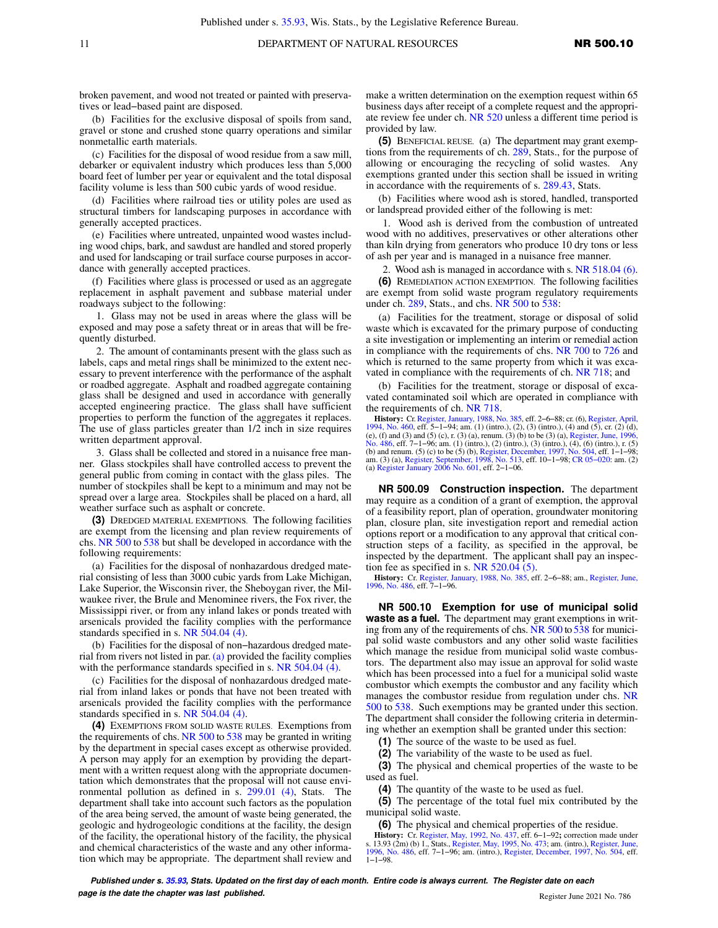broken pavement, and wood not treated or painted with preservatives or lead−based paint are disposed.

(b) Facilities for the exclusive disposal of spoils from sand, gravel or stone and crushed stone quarry operations and similar nonmetallic earth materials.

(c) Facilities for the disposal of wood residue from a saw mill, debarker or equivalent industry which produces less than 5,000 board feet of lumber per year or equivalent and the total disposal facility volume is less than 500 cubic yards of wood residue.

(d) Facilities where railroad ties or utility poles are used as structural timbers for landscaping purposes in accordance with generally accepted practices.

(e) Facilities where untreated, unpainted wood wastes including wood chips, bark, and sawdust are handled and stored properly and used for landscaping or trail surface course purposes in accordance with generally accepted practices.

(f) Facilities where glass is processed or used as an aggregate replacement in asphalt pavement and subbase material under roadways subject to the following:

1. Glass may not be used in areas where the glass will be exposed and may pose a safety threat or in areas that will be frequently disturbed.

2. The amount of contaminants present with the glass such as labels, caps and metal rings shall be minimized to the extent necessary to prevent interference with the performance of the asphalt or roadbed aggregate. Asphalt and roadbed aggregate containing glass shall be designed and used in accordance with generally accepted engineering practice. The glass shall have sufficient properties to perform the function of the aggregates it replaces. The use of glass particles greater than 1/2 inch in size requires written department approval.

3. Glass shall be collected and stored in a nuisance free manner. Glass stockpiles shall have controlled access to prevent the general public from coming in contact with the glass piles. The number of stockpiles shall be kept to a minimum and may not be spread over a large area. Stockpiles shall be placed on a hard, all weather surface such as asphalt or concrete.

**(3)** DREDGED MATERIAL EXEMPTIONS. The following facilities are exempt from the licensing and plan review requirements of chs. [NR 500](https://docs.legis.wisconsin.gov/document/administrativecode/ch.%20NR%20500) to [538](https://docs.legis.wisconsin.gov/document/administrativecode/ch.%20NR%20538) but shall be developed in accordance with the following requirements:

(a) Facilities for the disposal of nonhazardous dredged material consisting of less than 3000 cubic yards from Lake Michigan, Lake Superior, the Wisconsin river, the Sheboygan river, the Milwaukee river, the Brule and Menominee rivers, the Fox river, the Mississippi river, or from any inland lakes or ponds treated with arsenicals provided the facility complies with the performance standards specified in s. [NR 504.04 \(4\)](https://docs.legis.wisconsin.gov/document/administrativecode/NR%20504.04(4)).

(b) Facilities for the disposal of non−hazardous dredged material from rivers not listed in par. [\(a\)](https://docs.legis.wisconsin.gov/document/administrativecode/NR%20500.08(3)(a)) provided the facility complies with the performance standards specified in s. [NR 504.04 \(4\).](https://docs.legis.wisconsin.gov/document/administrativecode/NR%20504.04(4))

(c) Facilities for the disposal of nonhazardous dredged material from inland lakes or ponds that have not been treated with arsenicals provided the facility complies with the performance standards specified in s. [NR 504.04 \(4\)](https://docs.legis.wisconsin.gov/document/administrativecode/NR%20504.04(4)).

**(4)** EXEMPTIONS FROM SOLID WASTE RULES. Exemptions from the requirements of chs. [NR 500](https://docs.legis.wisconsin.gov/document/administrativecode/ch.%20NR%20500) to [538](https://docs.legis.wisconsin.gov/document/administrativecode/ch.%20NR%20538) may be granted in writing by the department in special cases except as otherwise provided. A person may apply for an exemption by providing the department with a written request along with the appropriate documentation which demonstrates that the proposal will not cause environmental pollution as defined in s. [299.01 \(4\),](https://docs.legis.wisconsin.gov/document/statutes/299.01(4)) Stats. The department shall take into account such factors as the population of the area being served, the amount of waste being generated, the geologic and hydrogeologic conditions at the facility, the design of the facility, the operational history of the facility, the physical and chemical characteristics of the waste and any other information which may be appropriate. The department shall review and

make a written determination on the exemption request within 65 business days after receipt of a complete request and the appropriate review fee under ch. [NR 520](https://docs.legis.wisconsin.gov/document/administrativecode/ch.%20NR%20520) unless a different time period is provided by law.

**(5)** BENEFICIAL REUSE. (a) The department may grant exemptions from the requirements of ch. [289,](https://docs.legis.wisconsin.gov/document/statutes/ch.%20289) Stats., for the purpose of allowing or encouraging the recycling of solid wastes. Any exemptions granted under this section shall be issued in writing in accordance with the requirements of s. [289.43](https://docs.legis.wisconsin.gov/document/statutes/289.43), Stats.

(b) Facilities where wood ash is stored, handled, transported or landspread provided either of the following is met:

1. Wood ash is derived from the combustion of untreated wood with no additives, preservatives or other alterations other than kiln drying from generators who produce 10 dry tons or less of ash per year and is managed in a nuisance free manner.

2. Wood ash is managed in accordance with s. [NR 518.04 \(6\).](https://docs.legis.wisconsin.gov/document/administrativecode/NR%20518.04(6))

**(6)** REMEDIATION ACTION EXEMPTION. The following facilities are exempt from solid waste program regulatory requirements under ch. [289,](https://docs.legis.wisconsin.gov/document/statutes/ch.%20289) Stats., and chs. [NR 500](https://docs.legis.wisconsin.gov/document/administrativecode/ch.%20NR%20500) to [538](https://docs.legis.wisconsin.gov/document/administrativecode/ch.%20NR%20538):

(a) Facilities for the treatment, storage or disposal of solid waste which is excavated for the primary purpose of conducting a site investigation or implementing an interim or remedial action in compliance with the requirements of chs. [NR 700](https://docs.legis.wisconsin.gov/document/administrativecode/ch.%20NR%20700) to [726](https://docs.legis.wisconsin.gov/document/administrativecode/ch.%20NR%20726) and which is returned to the same property from which it was excavated in compliance with the requirements of ch. [NR 718;](https://docs.legis.wisconsin.gov/document/administrativecode/ch.%20NR%20718) and

(b) Facilities for the treatment, storage or disposal of excavated contaminated soil which are operated in compliance with the requirements of ch. [NR 718](https://docs.legis.wisconsin.gov/document/administrativecode/ch.%20NR%20718).

**History:** Cr. [Register, January, 1988, No. 385](https://docs.legis.wisconsin.gov/document/register/385/B/toc), eff. 2–6–88; cr. (6), [Register, April,](https://docs.legis.wisconsin.gov/document/register/460/B/toc) [1994, No. 460](https://docs.legis.wisconsin.gov/document/register/460/B/toc), eff. 5–1–94; am. (1) (intro.), (2), (3) (intro.), (4) and (5), cr. (2) (d),  $\pi$  (9), (into.), (2), (into.), (2), (into

**NR 500.09 Construction inspection.** The department may require as a condition of a grant of exemption, the approval of a feasibility report, plan of operation, groundwater monitoring plan, closure plan, site investigation report and remedial action options report or a modification to any approval that critical construction steps of a facility, as specified in the approval, be inspected by the department. The applicant shall pay an inspection fee as specified in s. NR  $520.04$  (5).

**History:** Cr. [Register, January, 1988, No. 385,](https://docs.legis.wisconsin.gov/document/register/385/B/toc) eff. 2−6−88; am., [Register, June,](https://docs.legis.wisconsin.gov/document/register/486/B/toc) [1996, No. 486](https://docs.legis.wisconsin.gov/document/register/486/B/toc), eff. 7−1−96.

**NR 500.10 Exemption for use of municipal solid waste as a fuel.** The department may grant exemptions in writing from any of the requirements of chs. [NR 500](https://docs.legis.wisconsin.gov/document/administrativecode/ch.%20NR%20500) to [538](https://docs.legis.wisconsin.gov/document/administrativecode/ch.%20NR%20538) for municipal solid waste combustors and any other solid waste facilities which manage the residue from municipal solid waste combustors. The department also may issue an approval for solid waste which has been processed into a fuel for a municipal solid waste combustor which exempts the combustor and any facility which manages the combustor residue from regulation under chs. [NR](https://docs.legis.wisconsin.gov/document/administrativecode/ch.%20NR%20500) [500](https://docs.legis.wisconsin.gov/document/administrativecode/ch.%20NR%20500) to [538.](https://docs.legis.wisconsin.gov/document/administrativecode/ch.%20NR%20538) Such exemptions may be granted under this section. The department shall consider the following criteria in determining whether an exemption shall be granted under this section:

**(1)** The source of the waste to be used as fuel.

**(2)** The variability of the waste to be used as fuel.

**(3)** The physical and chemical properties of the waste to be used as fuel.

**(4)** The quantity of the waste to be used as fuel.

**(5)** The percentage of the total fuel mix contributed by the municipal solid waste.

**(6)** The physical and chemical properties of the residue.

**History:** Cr. [Register, May, 1992, No. 437,](https://docs.legis.wisconsin.gov/document/register/437/B/toc) eff. 6–1–92; correction made under<br>s. 13.93 (2m) (b) 1., Stats., [Register, May, 1995, No. 473](https://docs.legis.wisconsin.gov/document/register/473/B/toc); am. (intro.), [Register, June,](https://docs.legis.wisconsin.gov/document/register/486/B/toc) [1996, No. 486](https://docs.legis.wisconsin.gov/document/register/486/B/toc), eff. 7-1–96; am. (intro.), Register, 1−1−98.